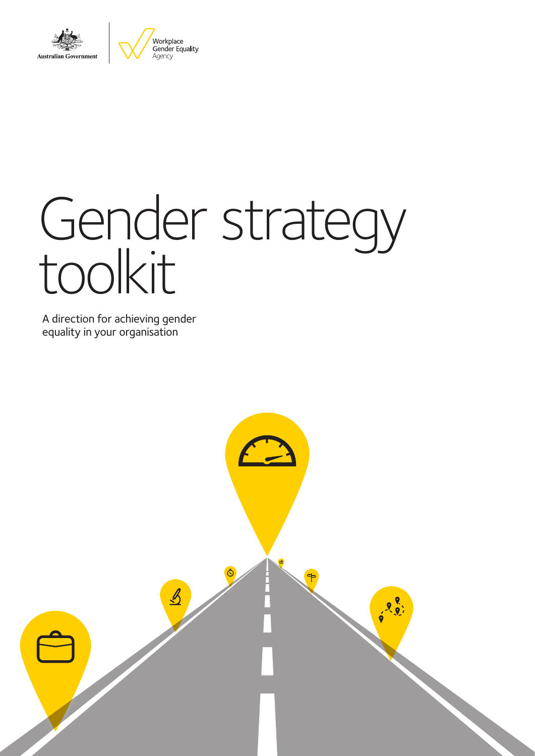



# Gender strategy toolkit

A direction for achieving gender equality in your organisation

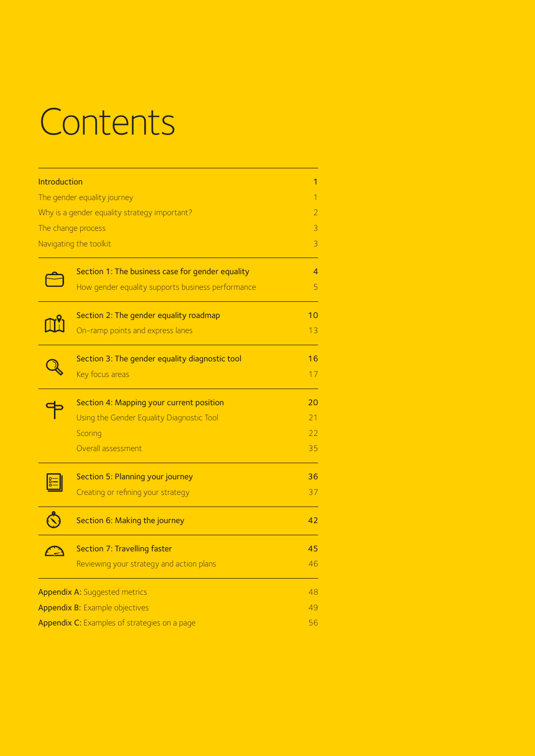# **Contents**

| Introduction |                                                   | $\overline{1}$ |
|--------------|---------------------------------------------------|----------------|
|              | The gender equality journey                       | $\overline{1}$ |
|              | Why is a gender equality strategy important?      | $\overline{2}$ |
|              | The change process                                | $\overline{3}$ |
|              | Navigating the toolkit                            | 3              |
|              | Section 1: The business case for gender equality  | 4              |
|              | How gender equality supports business performance | 5              |
|              | Section 2: The gender equality roadmap            | 10             |
|              | On-ramp points and express lanes                  | 13             |
|              | Section 3: The gender equality diagnostic tool    | 16             |
|              | Key focus areas                                   | 17             |
|              | Section 4: Mapping your current position          | 20             |
|              | Using the Gender Equality Diagnostic Tool         | 21             |
|              | Scoring                                           | 22             |
|              | Overall assessment                                | 35             |
|              | Section 5: Planning your journey                  | 36             |
|              | Creating or refining your strategy                | 37             |
|              | Section 6: Making the journey                     | 42             |
|              | <b>Section 7: Travelling faster</b>               | 45             |
|              | Reviewing your strategy and action plans          | 46             |
|              | <b>Appendix A: Suggested metrics</b>              | 48             |
|              | <b>Appendix B: Example objectives</b>             | 49             |
|              | Appendix C: Examples of strategies on a page      | 56             |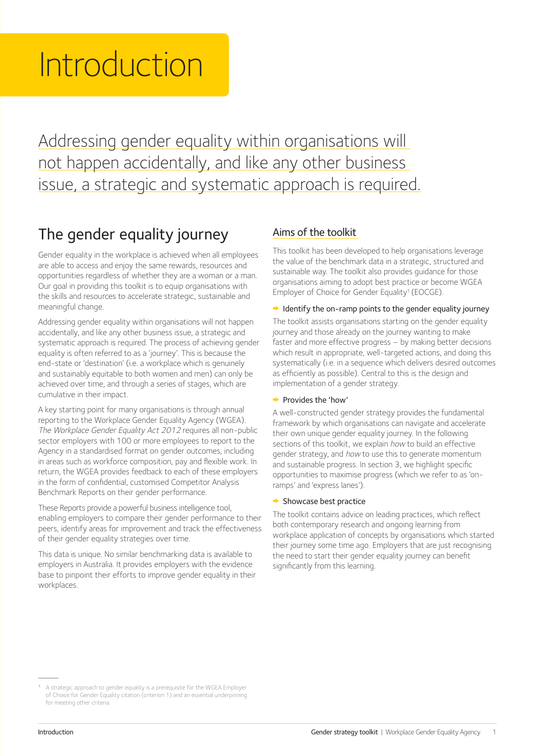# Introduction

Addressing gender equality within organisations will not happen accidentally, and like any other business issue, a strategic and systematic approach is required.

## The gender equality journey

Gender equality in the workplace is achieved when all employees are able to access and enjoy the same rewards, resources and opportunities regardless of whether they are a woman or a man. Our goal in providing this toolkit is to equip organisations with the skills and resources to accelerate strategic, sustainable and meaningful change.

Addressing gender equality within organisations will not happen accidentally, and like any other business issue, a strategic and systematic approach is required. The process of achieving gender equality is often referred to as a 'journey'. This is because the end-state or 'destination' (i.e. a workplace which is genuinely and sustainably equitable to both women and men) can only be achieved over time, and through a series of stages, which are cumulative in their impact.

A key starting point for many organisations is through annual reporting to the Workplace Gender Equality Agency (WGEA). The Workplace Gender Equality Act 2012 requires all non-public sector employers with 100 or more employees to report to the Agency in a standardised format on gender outcomes, including in areas such as workforce composition, pay and flexible work. In return, the WGEA provides feedback to each of these employers in the form of confidential, customised Competitor Analysis Benchmark Reports on their gender performance.

These Reports provide a powerful business intelligence tool, enabling employers to compare their gender performance to their peers, identify areas for improvement and track the effectiveness of their gender equality strategies over time.

This data is unique. No similar benchmarking data is available to employers in Australia. It provides employers with the evidence base to pinpoint their efforts to improve gender equality in their workplaces.

#### Aims of the toolkit

This toolkit has been developed to help organisations leverage the value of the benchmark data in a strategic, structured and sustainable way. The toolkit also provides guidance for those organisations aiming to adopt best practice or become WGEA Employer of Choice for Gender Equality<sup>1</sup> (EOCGE).

#### $\rightarrow$  Identify the on-ramp points to the gender equality journey

The toolkit assists organisations starting on the gender equality journey and those already on the journey wanting to make faster and more effective progress – by making better decisions which result in appropriate, well-targeted actions, and doing this systematically (i.e. in a sequence which delivers desired outcomes as efficiently as possible). Central to this is the design and implementation of a gender strategy.

#### Provides the 'how'

A well-constructed gender strategy provides the fundamental framework by which organisations can navigate and accelerate their own unique gender equality journey. In the following sections of this toolkit, we explain how to build an effective gender strategy, and how to use this to generate momentum and sustainable progress. In section 3, we highlight specific opportunities to maximise progress (which we refer to as 'onramps' and 'express lanes').

#### $\rightarrow$  Showcase best practice

The toolkit contains advice on leading practices, which reflect both contemporary research and ongoing learning from workplace application of concepts by organisations which started their journey some time ago. Employers that are just recognising the need to start their gender equality journey can benefit significantly from this learning.

<sup>&</sup>lt;sup>1.</sup> A strategic approach to gender equality is a prerequisite for the WGEA Employer of Choice for Gender Equality citation (criterion 1) and an essential underpinning for meeting other criteria.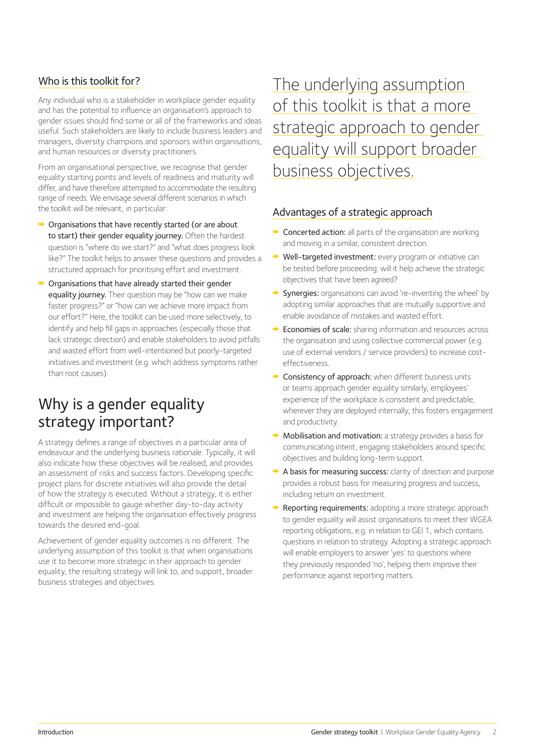#### Who is this toolkit for?

Any individual who is a stakeholder in workplace gender equality and has the potential to influence an organisation's approach to gender issues should find some or all of the frameworks and ideas useful. Such stakeholders are likely to include business leaders and managers, diversity champions and sponsors within organisations, and human resources or diversity practitioners.

From an organisational perspective, we recognise that gender equality starting points and levels of readiness and maturity will differ, and have therefore attempted to accommodate the resulting range of needs. We envisage several different scenarios in which the toolkit will be relevant, in particular:

- **→** Organisations that have recently started (or are about to start) their gender equality journey. Often the hardest question is "where do we start?" and "what does progress look like?" The toolkit helps to answer these questions and provides a structured approach for prioritising effort and investment.
- Organisations that have already started their gender equality journey. Their question may be "how can we make faster progress?" or "how can we achieve more impact from our effort?" Here, the toolkit can be used more selectively, to identify and help fill gaps in approaches (especially those that lack strategic direction) and enable stakeholders to avoid pitfalls and wasted effort from well-intentioned but poorly-targeted initiatives and investment (e.g. which address symptoms rather than root causes).

## Why is a gender equality strategy important?

A strategy defines a range of objectives in a particular area of endeavour and the underlying business rationale. Typically, it will also indicate how these objectives will be realised, and provides an assessment of risks and success factors. Developing specific project plans for discrete initiatives will also provide the detail of how the strategy is executed. Without a strategy, it is either difficult or impossible to gauge whether day-to-day activity and investment are helping the organisation effectively progress towards the desired end-goal.

Achievement of gender equality outcomes is no different. The underlying assumption of this toolkit is that when organisations use it to become more strategic in their approach to gender equality, the resulting strategy will link to, and support, broader business strategies and objectives.

The underlying assumption of this toolkit is that a more strategic approach to gender equality will support broader business objectives.

#### Advantages of a strategic approach

- **► Concerted action:** all parts of the organisation are working and moving in a similar, consistent direction.
- ◆ Well-targeted investment: every program or initiative can be tested before proceeding: will it help achieve the strategic objectives that have been agreed?
- Synergies: organisations can avoid 're-inventing the wheel' by adopting similar approaches that are mutually supportive and enable avoidance of mistakes and wasted effort.
- **Economies of scale:** sharing information and resources across the organisation and using collective commercial power (e.g. use of external vendors / service providers) to increase costeffectiveness.
- ◆ Consistency of approach: when different business units or teams approach gender equality similarly, employees' experience of the workplace is consistent and predictable, wherever they are deployed internally; this fosters engagement and productivity.
- Mobilisation and motivation: a strategy provides a basis for communicating intent, engaging stakeholders around specific objectives and building long-term support.
- A basis for measuring success: clarity of direction and purpose provides a robust basis for measuring progress and success, including return on investment.
- Reporting requirements: adopting a more strategic approach to gender equality will assist organisations to meet their WGEA reporting obligations, e.g. in relation to GEI 1, which contains questions in relation to strategy. Adopting a strategic approach will enable employers to answer 'yes' to questions where they previously responded 'no', helping them improve their performance against reporting matters.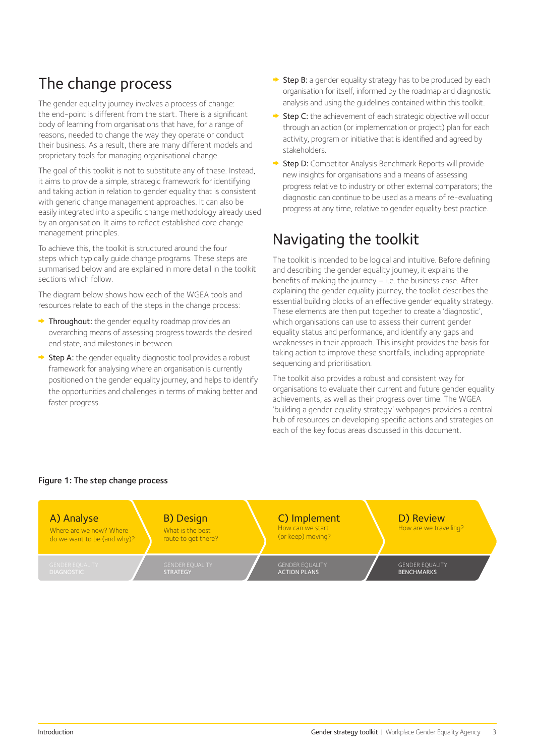## The change process

The gender equality journey involves a process of change: the end-point is different from the start. There is a significant body of learning from organisations that have, for a range of reasons, needed to change the way they operate or conduct their business. As a result, there are many different models and proprietary tools for managing organisational change.

The goal of this toolkit is not to substitute any of these. Instead, it aims to provide a simple, strategic framework for identifying and taking action in relation to gender equality that is consistent with generic change management approaches. It can also be easily integrated into a specific change methodology already used by an organisation. It aims to reflect established core change management principles.

To achieve this, the toolkit is structured around the four steps which typically guide change programs. These steps are summarised below and are explained in more detail in the toolkit sections which follow.

The diagram below shows how each of the WGEA tools and resources relate to each of the steps in the change process:

- $\rightarrow$  Throughout: the gender equality roadmap provides an overarching means of assessing progress towards the desired end state, and milestones in between.
- $\rightarrow$  Step A: the gender equality diagnostic tool provides a robust framework for analysing where an organisation is currently positioned on the gender equality journey, and helps to identify the opportunities and challenges in terms of making better and faster progress.
- $\rightarrow$  Step B: a gender equality strategy has to be produced by each organisation for itself, informed by the roadmap and diagnostic analysis and using the guidelines contained within this toolkit.
- $\rightarrow$  Step C: the achievement of each strategic objective will occur through an action (or implementation or project) plan for each activity, program or initiative that is identified and agreed by stakeholders.
- Step D: Competitor Analysis Benchmark Reports will provide new insights for organisations and a means of assessing progress relative to industry or other external comparators; the diagnostic can continue to be used as a means of re-evaluating progress at any time, relative to gender equality best practice.

## Navigating the toolkit

The toolkit is intended to be logical and intuitive. Before defining and describing the gender equality journey, it explains the benefits of making the journey – i.e. the business case. After explaining the gender equality journey, the toolkit describes the essential building blocks of an effective gender equality strategy. These elements are then put together to create a 'diagnostic', which organisations can use to assess their current gender equality status and performance, and identify any gaps and weaknesses in their approach. This insight provides the basis for taking action to improve these shortfalls, including appropriate sequencing and prioritisation.

The toolkit also provides a robust and consistent way for organisations to evaluate their current and future gender equality achievements, as well as their progress over time. The WGEA 'building a gender equality strategy' webpages provides a central hub of resources on developing specific actions and strategies on each of the key focus areas discussed in this document.

#### D) Review How are we travelling? GENDER EQUALITY BENCHMARKS C) Implement How can we start (or keep) moving? GENDER EQUALITY ACTION PLANS B) Design What is the best route to get there? GENDER EQUALITY STRATEGY A) Analyse Where are we now? Where do we want to be (and why)?

#### Figure 1: The step change process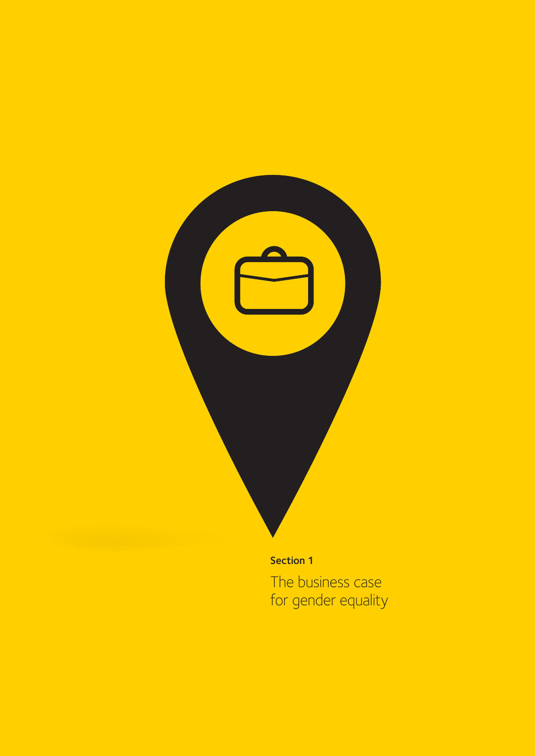

The business case for gender equality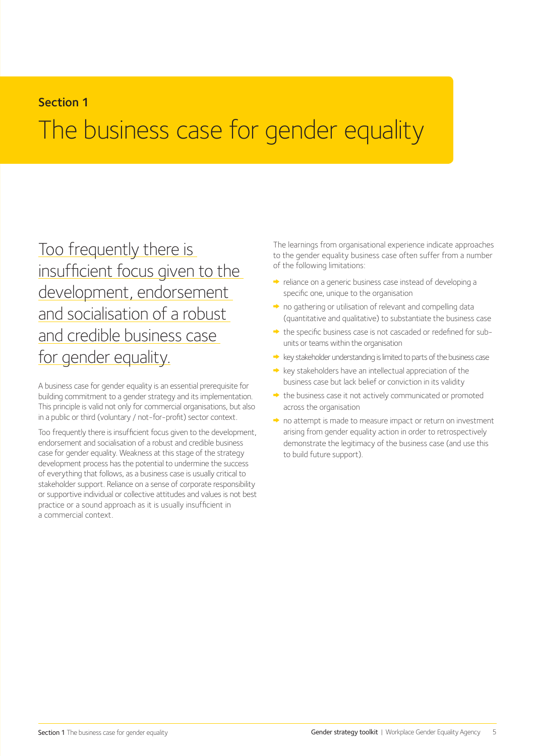#### Section 1

## The business case for gender equality

Too frequently there is insufficient focus given to the development, endorsement and socialisation of a robust and credible business case for gender equality.

A business case for gender equality is an essential prerequisite for building commitment to a gender strategy and its implementation. This principle is valid not only for commercial organisations, but also in a public or third (voluntary / not-for-profit) sector context.

Too frequently there is insufficient focus given to the development, endorsement and socialisation of a robust and credible business case for gender equality. Weakness at this stage of the strategy development process has the potential to undermine the success of everything that follows, as a business case is usually critical to stakeholder support. Reliance on a sense of corporate responsibility or supportive individual or collective attitudes and values is not best practice or a sound approach as it is usually insufficient in a commercial context.

The learnings from organisational experience indicate approaches to the gender equality business case often suffer from a number of the following limitations:

- $\rightarrow$  reliance on a generic business case instead of developing a specific one, unique to the organisation
- $\rightarrow$  no gathering or utilisation of relevant and compelling data (quantitative and qualitative) to substantiate the business case
- the specific business case is not cascaded or redefined for subunits or teams within the organisation
- $\rightarrow$  key stakeholder understanding is limited to parts of the business case
- $\rightarrow$  key stakeholders have an intellectual appreciation of the business case but lack belief or conviction in its validity
- $\rightarrow$  the business case it not actively communicated or promoted across the organisation
- $\rightarrow$  no attempt is made to measure impact or return on investment arising from gender equality action in order to retrospectively demonstrate the legitimacy of the business case (and use this to build future support).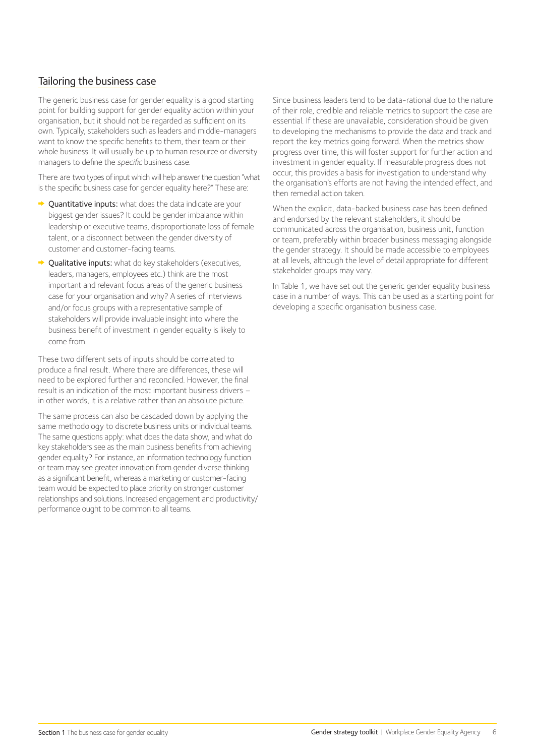#### Tailoring the business case

The generic business case for gender equality is a good starting point for building support for gender equality action within your organisation, but it should not be regarded as sufficient on its own. Typically, stakeholders such as leaders and middle-managers want to know the specific benefits to them, their team or their whole business. It will usually be up to human resource or diversity managers to define the *specific* business case.

There are two types of input which will help answer the question "what is the specific business case for gender equality here?" These are:

- $\rightarrow$  Ouantitative inputs: what does the data indicate are your biggest gender issues? It could be gender imbalance within leadership or executive teams, disproportionate loss of female talent, or a disconnect between the gender diversity of customer and customer-facing teams.
- Qualitative inputs: what do key stakeholders (executives, leaders, managers, employees etc.) think are the most important and relevant focus areas of the generic business case for your organisation and why? A series of interviews and/or focus groups with a representative sample of stakeholders will provide invaluable insight into where the business benefit of investment in gender equality is likely to come from.

These two different sets of inputs should be correlated to produce a final result. Where there are differences, these will need to be explored further and reconciled. However, the final result is an indication of the most important business drivers – in other words, it is a relative rather than an absolute picture.

The same process can also be cascaded down by applying the same methodology to discrete business units or individual teams. The same questions apply: what does the data show, and what do key stakeholders see as the main business benefits from achieving gender equality? For instance, an information technology function or team may see greater innovation from gender diverse thinking as a significant benefit, whereas a marketing or customer-facing team would be expected to place priority on stronger customer relationships and solutions. Increased engagement and productivity/ performance ought to be common to all teams.

Since business leaders tend to be data-rational due to the nature of their role, credible and reliable metrics to support the case are essential. If these are unavailable, consideration should be given to developing the mechanisms to provide the data and track and report the key metrics going forward. When the metrics show progress over time, this will foster support for further action and investment in gender equality. If measurable progress does not occur, this provides a basis for investigation to understand why the organisation's efforts are not having the intended effect, and then remedial action taken.

When the explicit, data-backed business case has been defined and endorsed by the relevant stakeholders, it should be communicated across the organisation, business unit, function or team, preferably within broader business messaging alongside the gender strategy. It should be made accessible to employees at all levels, although the level of detail appropriate for different stakeholder groups may vary.

In Table 1, we have set out the generic gender equality business case in a number of ways. This can be used as a starting point for developing a specific organisation business case.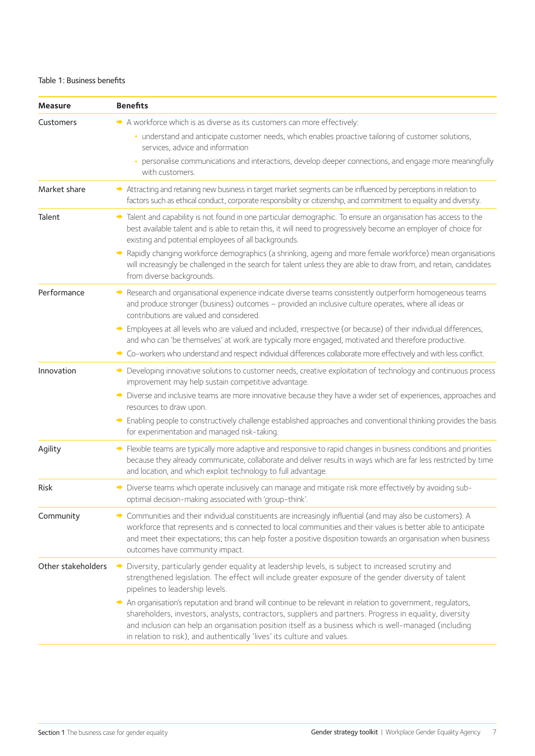#### Table 1: Business benefits

| <b>Measure</b>     | <b>Benefits</b>                                                                                                                                                                                                                                                                                                                                                                                           |
|--------------------|-----------------------------------------------------------------------------------------------------------------------------------------------------------------------------------------------------------------------------------------------------------------------------------------------------------------------------------------------------------------------------------------------------------|
| Customers          | A workforce which is as diverse as its customers can more effectively:                                                                                                                                                                                                                                                                                                                                    |
|                    | · understand and anticipate customer needs, which enables proactive tailoring of customer solutions,<br>services, advice and information                                                                                                                                                                                                                                                                  |
|                    | • personalise communications and interactions, develop deeper connections, and engage more meaningfully<br>with customers.                                                                                                                                                                                                                                                                                |
| Market share       | Attracting and retaining new business in target market segments can be influenced by perceptions in relation to<br>factors such as ethical conduct, corporate responsibility or citizenship, and commitment to equality and diversity.                                                                                                                                                                    |
| Talent             | Talent and capability is not found in one particular demographic. To ensure an organisation has access to the<br>best available talent and is able to retain this, it will need to progressively become an employer of choice for<br>existing and potential employees of all backgrounds.                                                                                                                 |
|                    | Rapidly changing workforce demographics (a shrinking, ageing and more female workforce) mean organisations<br>◆<br>will increasingly be challenged in the search for talent unless they are able to draw from, and retain, candidates<br>from diverse backgrounds.                                                                                                                                        |
| Performance        | Research and organisational experience indicate diverse teams consistently outperform homogeneous teams<br>◆<br>and produce stronger (business) outcomes - provided an inclusive culture operates, where all ideas or<br>contributions are valued and considered.                                                                                                                                         |
|                    | Employees at all levels who are valued and included, irrespective (or because) of their individual differences,<br>and who can 'be themselves' at work are typically more engaged, motivated and therefore productive.                                                                                                                                                                                    |
|                    | Co-workers who understand and respect individual differences collaborate more effectively and with less conflict.                                                                                                                                                                                                                                                                                         |
| Innovation         | Developing innovative solutions to customer needs, creative exploitation of technology and continuous process<br>◆<br>improvement may help sustain competitive advantage.                                                                                                                                                                                                                                 |
|                    | Diverse and inclusive teams are more innovative because they have a wider set of experiences, approaches and<br>◆<br>resources to draw upon.                                                                                                                                                                                                                                                              |
|                    | Enabling people to constructively challenge established approaches and conventional thinking provides the basis<br>for experimentation and managed risk-taking.                                                                                                                                                                                                                                           |
| Agility            | → Flexible teams are typically more adaptive and responsive to rapid changes in business conditions and priorities<br>because they already communicate, collaborate and deliver results in ways which are far less restricted by time<br>and location, and which exploit technology to full advantage.                                                                                                    |
| Risk               | Diverse teams which operate inclusively can manage and mitigate risk more effectively by avoiding sub-<br>∙<br>optimal decision-making associated with 'group-think'.                                                                                                                                                                                                                                     |
| Community          | Communities and their individual constituents are increasingly influential (and may also be customers). A<br>workforce that represents and is connected to local communities and their values is better able to anticipate<br>and meet their expectations; this can help foster a positive disposition towards an organisation when business<br>outcomes have community impact.                           |
| Other stakeholders | Diversity, particularly gender equality at leadership levels, is subject to increased scrutiny and<br>∙<br>strengthened legislation. The effect will include greater exposure of the gender diversity of talent<br>pipelines to leadership levels.                                                                                                                                                        |
|                    | An organisation's reputation and brand will continue to be relevant in relation to government, regulators,<br>shareholders, investors, analysts, contractors, suppliers and partners. Progress in equality, diversity<br>and inclusion can help an organisation position itself as a business which is well-managed (including<br>in relation to risk), and authentically 'lives' its culture and values. |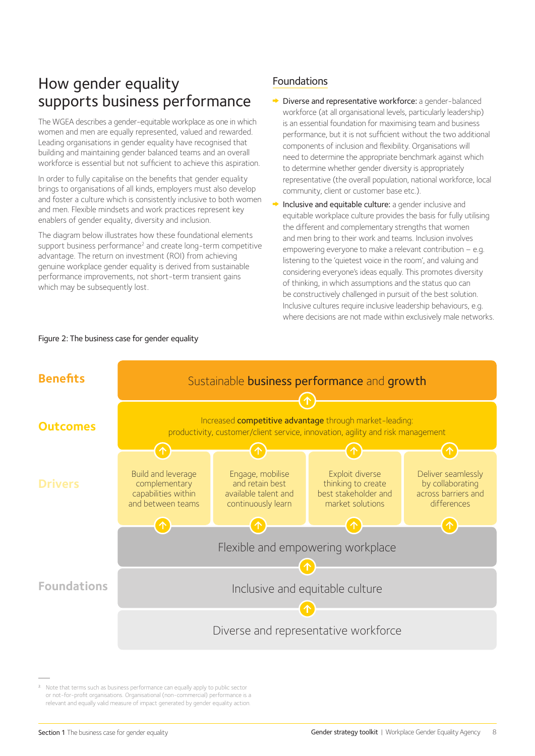## How gender equality supports business performance

The WGEA describes a gender-equitable workplace as one in which women and men are equally represented, valued and rewarded. Leading organisations in gender equality have recognised that building and maintaining gender balanced teams and an overall workforce is essential but not sufficient to achieve this aspiration.

In order to fully capitalise on the benefits that gender equality brings to organisations of all kinds, employers must also develop and foster a culture which is consistently inclusive to both women and men. Flexible mindsets and work practices represent key enablers of gender equality, diversity and inclusion.

The diagram below illustrates how these foundational elements support business performance<sup>2</sup> and create long-term competitive advantage. The return on investment (ROI) from achieving genuine workplace gender equality is derived from sustainable performance improvements, not short-term transient gains which may be subsequently lost.

#### Foundations

- Diverse and representative workforce: a gender-balanced workforce (at all organisational levels, particularly leadership) is an essential foundation for maximising team and business performance, but it is not sufficient without the two additional components of inclusion and flexibility. Organisations will need to determine the appropriate benchmark against which to determine whether gender diversity is appropriately representative (the overall population, national workforce, local community, client or customer base etc.).
- Inclusive and equitable culture: a gender inclusive and equitable workplace culture provides the basis for fully utilising the different and complementary strengths that women and men bring to their work and teams. Inclusion involves empowering everyone to make a relevant contribution – e.g. listening to the 'quietest voice in the room', and valuing and considering everyone's ideas equally. This promotes diversity of thinking, in which assumptions and the status quo can be constructively challenged in pursuit of the best solution. Inclusive cultures require inclusive leadership behaviours, e.g. where decisions are not made within exclusively male networks.



Figure 2: The business case for gender equality

<sup>2.</sup> Note that terms such as business performance can equally apply to public sector or not-for-profit organisations. Organisational (non-commercial) performance is a relevant and equally valid measure of impact generated by gender equality action.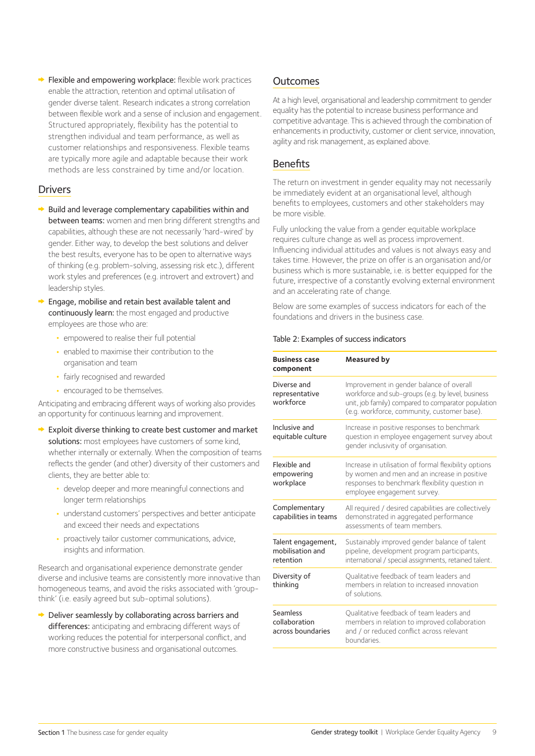$\rightarrow$  Flexible and empowering workplace: flexible work practices enable the attraction, retention and optimal utilisation of gender diverse talent. Research indicates a strong correlation between flexible work and a sense of inclusion and engagement. Structured appropriately, flexibility has the potential to strengthen individual and team performance, as well as customer relationships and responsiveness. Flexible teams are typically more agile and adaptable because their work methods are less constrained by time and/or location.

#### Drivers

- $\rightarrow$  Build and leverage complementary capabilities within and between teams: women and men bring different strengths and capabilities, although these are not necessarily 'hard-wired' by gender. Either way, to develop the best solutions and deliver the best results, everyone has to be open to alternative ways of thinking (e.g. problem-solving, assessing risk etc.), different work styles and preferences (e.g. introvert and extrovert) and leadership styles.
- $\rightarrow$  Engage, mobilise and retain best available talent and continuously learn: the most engaged and productive employees are those who are:
	- **•** empowered to realise their full potential
	- **•** enabled to maximise their contribution to the organisation and team
	- **•** fairly recognised and rewarded
	- **•** encouraged to be themselves.

Anticipating and embracing different ways of working also provides an opportunity for continuous learning and improvement.

- **►** Exploit diverse thinking to create best customer and market solutions: most employees have customers of some kind, whether internally or externally. When the composition of teams reflects the gender (and other) diversity of their customers and clients, they are better able to:
	- **•** develop deeper and more meaningful connections and longer term relationships
	- **•** understand customers' perspectives and better anticipate and exceed their needs and expectations
	- **•** proactively tailor customer communications, advice, insights and information.

Research and organisational experience demonstrate gender diverse and inclusive teams are consistently more innovative than homogeneous teams, and avoid the risks associated with 'groupthink' (i.e. easily agreed but sub-optimal solutions).

**→** Deliver seamlessly by collaborating across barriers and differences: anticipating and embracing different ways of working reduces the potential for interpersonal conflict, and more constructive business and organisational outcomes.

#### **Outcomes**

At a high level, organisational and leadership commitment to gender equality has the potential to increase business performance and competitive advantage. This is achieved through the combination of enhancements in productivity, customer or client service, innovation, agility and risk management, as explained above.

#### Benefits

The return on investment in gender equality may not necessarily be immediately evident at an organisational level, although benefits to employees, customers and other stakeholders may be more visible.

Fully unlocking the value from a gender equitable workplace requires culture change as well as process improvement. Influencing individual attitudes and values is not always easy and takes time. However, the prize on offer is an organisation and/or business which is more sustainable, i.e. is better equipped for the future, irrespective of a constantly evolving external environment and an accelerating rate of change.

Below are some examples of success indicators for each of the foundations and drivers in the business case.

#### Table 2: Examples of success indicators

| <b>Business case</b><br>component                   | <b>Measured by</b>                                                                                                                                                                                  |
|-----------------------------------------------------|-----------------------------------------------------------------------------------------------------------------------------------------------------------------------------------------------------|
| Diverse and<br>representative<br>workforce          | Improvement in gender balance of overall<br>workforce and sub-groups (e.g. by level, business<br>unit, job family) compared to comparator population<br>(e.g. workforce, community, customer base). |
| Inclusive and<br>equitable culture                  | Increase in positive responses to benchmark<br>question in employee engagement survey about<br>gender inclusivity of organisation.                                                                  |
| Flexible and<br>empowering<br>workplace             | Increase in utilisation of formal flexibility options<br>by women and men and an increase in positive<br>responses to benchmark flexibility question in<br>employee engagement survey.              |
| Complementary<br>capabilities in teams              | All required / desired capabilities are collectively<br>demonstrated in aggregated performance<br>assessments of team members                                                                       |
| Talent engagement,<br>mobilisation and<br>retention | Sustainably improved gender balance of talent<br>pipeline, development program participants,<br>international / special assignments, retained talent.                                               |
| Diversity of<br>thinking                            | Oualitative feedback of team leaders and<br>members in relation to increased innovation<br>of solutions                                                                                             |
| Seamless<br>collaboration<br>across boundaries      | Oualitative feedback of team leaders and<br>members in relation to improved collaboration<br>and / or reduced conflict across relevant<br><b>boundaries</b>                                         |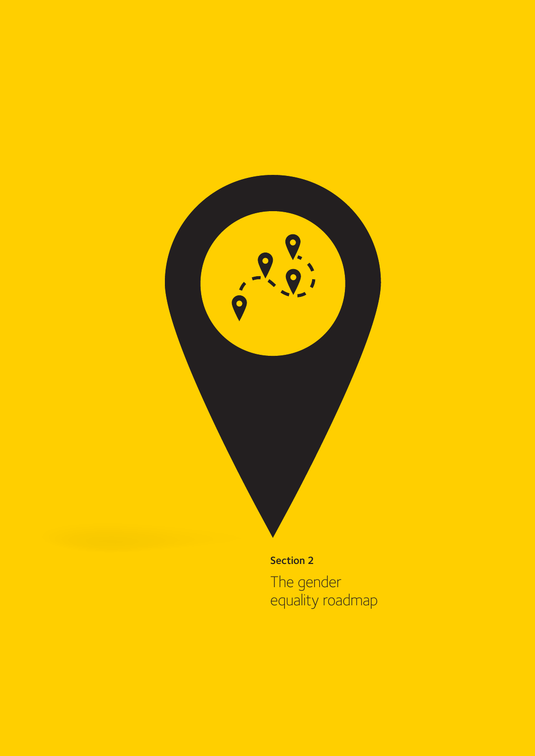

The gender equality roadmap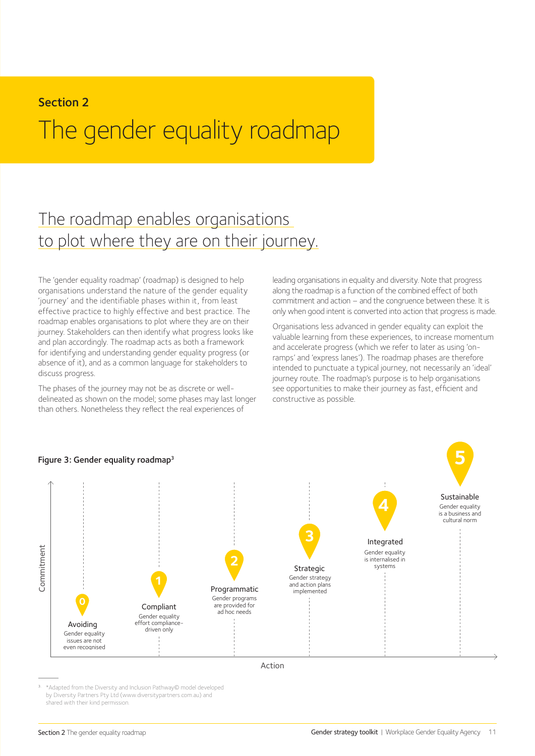#### Section 2

## The gender equality roadmap

## The roadmap enables organisations to plot where they are on their journey.

The 'gender equality roadmap' (roadmap) is designed to help organisations understand the nature of the gender equality 'journey' and the identifiable phases within it, from least effective practice to highly effective and best practice. The roadmap enables organisations to plot where they are on their journey. Stakeholders can then identify what progress looks like and plan accordingly. The roadmap acts as both a framework for identifying and understanding gender equality progress (or absence of it), and as a common language for stakeholders to discuss progress.

The phases of the journey may not be as discrete or welldelineated as shown on the model; some phases may last longer than others. Nonetheless they reflect the real experiences of

leading organisations in equality and diversity. Note that progress along the roadmap is a function of the combined effect of both commitment and action – and the congruence between these. It is only when good intent is converted into action that progress is made.

Organisations less advanced in gender equality can exploit the valuable learning from these experiences, to increase momentum and accelerate progress (which we refer to later as using 'onramps' and 'express lanes'). The roadmap phases are therefore intended to punctuate a typical journey, not necessarily an 'ideal' journey route. The roadmap's purpose is to help organisations see opportunities to make their journey as fast, efficient and constructive as possible.



\*Adapted from the Diversity and Inclusion Pathway© model developed by Diversity Partners Pty Ltd (www.diversitypartners.com.au) and shared with their kind permission.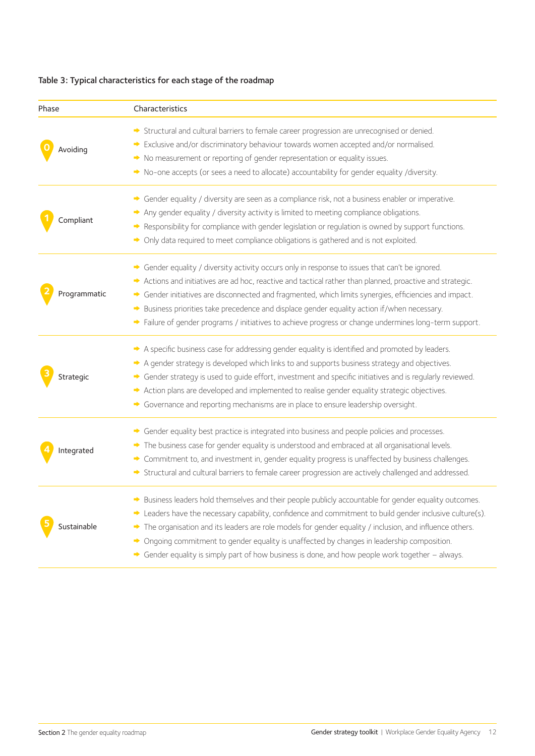#### Table 3: Typical characteristics for each stage of the roadmap

| Phase        | Characteristics                                                                                                                                                                                                                                                                                                                                                                                                                                                                                                          |
|--------------|--------------------------------------------------------------------------------------------------------------------------------------------------------------------------------------------------------------------------------------------------------------------------------------------------------------------------------------------------------------------------------------------------------------------------------------------------------------------------------------------------------------------------|
| Avoiding     | Structural and cultural barriers to female career progression are unrecognised or denied.<br>Exclusive and/or discriminatory behaviour towards women accepted and/or normalised.<br>No measurement or reporting of gender representation or equality issues.                                                                                                                                                                                                                                                             |
|              | No-one accepts (or sees a need to allocate) accountability for gender equality /diversity.                                                                                                                                                                                                                                                                                                                                                                                                                               |
| Compliant    | Gender equality / diversity are seen as a compliance risk, not a business enabler or imperative.<br>◆<br>Any gender equality / diversity activity is limited to meeting compliance obligations.<br>∙<br>Responsibility for compliance with gender legislation or regulation is owned by support functions.<br>• Only data required to meet compliance obligations is gathered and is not exploited.                                                                                                                      |
| Programmatic | Gender equality / diversity activity occurs only in response to issues that can't be ignored.<br>Actions and initiatives are ad hoc, reactive and tactical rather than planned, proactive and strategic.<br>Gender initiatives are disconnected and fragmented, which limits synergies, efficiencies and impact.<br>Business priorities take precedence and displace gender equality action if/when necessary.<br>→ Failure of gender programs / initiatives to achieve progress or change undermines long-term support. |
| Strategic    | A specific business case for addressing gender equality is identified and promoted by leaders.<br>A gender strategy is developed which links to and supports business strategy and objectives.<br>→ Gender strategy is used to guide effort, investment and specific initiatives and is regularly reviewed.<br>Action plans are developed and implemented to realise gender equality strategic objectives.<br>Governance and reporting mechanisms are in place to ensure leadership oversight.                           |
| Integrated   | Gender equality best practice is integrated into business and people policies and processes.<br>The business case for gender equality is understood and embraced at all organisational levels.<br>۰<br>Commitment to, and investment in, gender equality progress is unaffected by business challenges.<br>Structural and cultural barriers to female career progression are actively challenged and addressed.                                                                                                          |
| Sustainable  | Business leaders hold themselves and their people publicly accountable for gender equality outcomes.<br>Leaders have the necessary capability, confidence and commitment to build gender inclusive culture(s).<br>The organisation and its leaders are role models for gender equality / inclusion, and influence others.<br>Ongoing commitment to gender equality is unaffected by changes in leadership composition.<br>Gender equality is simply part of how business is done, and how people work together - always. |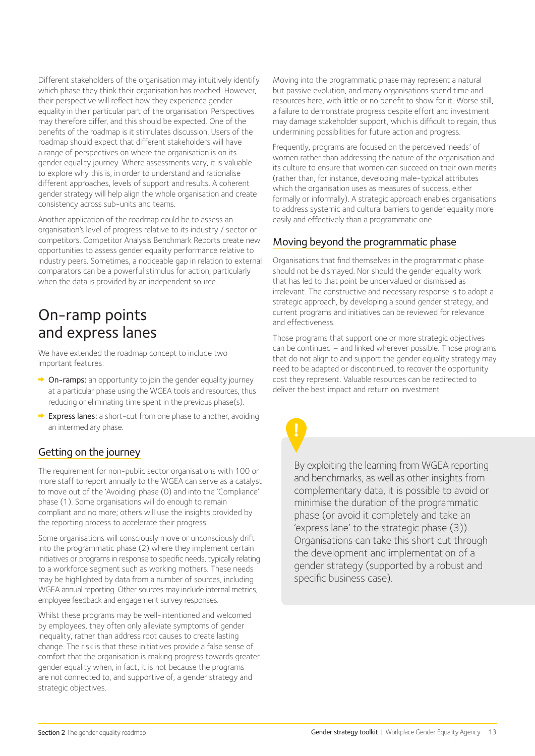Different stakeholders of the organisation may intuitively identify which phase they think their organisation has reached. However, their perspective will reflect how they experience gender equality in their particular part of the organisation. Perspectives may therefore differ, and this should be expected. One of the benefits of the roadmap is it stimulates discussion. Users of the roadmap should expect that different stakeholders will have a range of perspectives on where the organisation is on its gender equality journey. Where assessments vary, it is valuable to explore why this is, in order to understand and rationalise different approaches, levels of support and results. A coherent gender strategy will help align the whole organisation and create consistency across sub-units and teams.

Another application of the roadmap could be to assess an organisation's level of progress relative to its industry / sector or competitors. Competitor Analysis Benchmark Reports create new opportunities to assess gender equality performance relative to industry peers. Sometimes, a noticeable gap in relation to external comparators can be a powerful stimulus for action, particularly when the data is provided by an independent source.

## On-ramp points and express lanes

We have extended the roadmap concept to include two important features:

- $\rightarrow$  On-ramps: an opportunity to join the gender equality journey at a particular phase using the WGEA tools and resources, thus reducing or eliminating time spent in the previous phase(s).
- ◆ Express lanes: a short-cut from one phase to another, avoiding an intermediary phase.

#### Getting on the journey

The requirement for non-public sector organisations with 100 or more staff to report annually to the WGEA can serve as a catalyst to move out of the 'Avoiding' phase (0) and into the 'Compliance' phase (1). Some organisations will do enough to remain compliant and no more; others will use the insights provided by the reporting process to accelerate their progress.

Some organisations will consciously move or unconsciously drift into the programmatic phase (2) where they implement certain initiatives or programs in response to specific needs, typically relating to a workforce segment such as working mothers. These needs may be highlighted by data from a number of sources, including WGEA annual reporting. Other sources may include internal metrics, employee feedback and engagement survey responses.

Whilst these programs may be well-intentioned and welcomed by employees, they often only alleviate symptoms of gender inequality, rather than address root causes to create lasting change. The risk is that these initiatives provide a false sense of comfort that the organisation is making progress towards greater gender equality when, in fact, it is not because the programs are not connected to, and supportive of, a gender strategy and strategic objectives.

Moving into the programmatic phase may represent a natural but passive evolution, and many organisations spend time and resources here, with little or no benefit to show for it. Worse still, a failure to demonstrate progress despite effort and investment may damage stakeholder support, which is difficult to regain, thus undermining possibilities for future action and progress.

Frequently, programs are focused on the perceived 'needs' of women rather than addressing the nature of the organisation and its culture to ensure that women can succeed on their own merits (rather than, for instance, developing male-typical attributes which the organisation uses as measures of success, either formally or informally). A strategic approach enables organisations to address systemic and cultural barriers to gender equality more easily and effectively than a programmatic one.

#### Moving beyond the programmatic phase

Organisations that find themselves in the programmatic phase should not be dismayed. Nor should the gender equality work that has led to that point be undervalued or dismissed as irrelevant. The constructive and necessary response is to adopt a strategic approach, by developing a sound gender strategy, and current programs and initiatives can be reviewed for relevance and effectiveness.

Those programs that support one or more strategic objectives can be continued – and linked wherever possible. Those programs that do not align to and support the gender equality strategy may need to be adapted or discontinued, to recover the opportunity cost they represent. Valuable resources can be redirected to deliver the best impact and return on investment.

By exploiting the learning from WGEA reporting and benchmarks, as well as other insights from complementary data, it is possible to avoid or minimise the duration of the programmatic phase (or avoid it completely and take an 'express lane' to the strategic phase (3)). Organisations can take this short cut through the development and implementation of a gender strategy (supported by a robust and specific business case).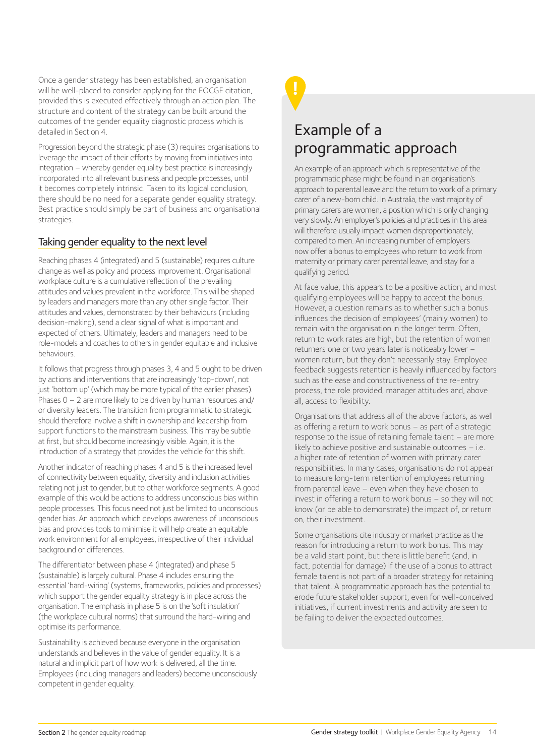Once a gender strategy has been established, an organisation will be well-placed to consider applying for the EOCGE citation, provided this is executed effectively through an action plan. The structure and content of the strategy can be built around the outcomes of the gender equality diagnostic process which is detailed in Section 4.

Progression beyond the strategic phase (3) requires organisations to leverage the impact of their efforts by moving from initiatives into integration – whereby gender equality best practice is increasingly incorporated into all relevant business and people processes, until it becomes completely intrinsic. Taken to its logical conclusion, there should be no need for a separate gender equality strategy. Best practice should simply be part of business and organisational strategies.

#### Taking gender equality to the next level

Reaching phases 4 (integrated) and 5 (sustainable) requires culture change as well as policy and process improvement. Organisational workplace culture is a cumulative reflection of the prevailing attitudes and values prevalent in the workforce. This will be shaped by leaders and managers more than any other single factor. Their attitudes and values, demonstrated by their behaviours (including decision-making), send a clear signal of what is important and expected of others. Ultimately, leaders and managers need to be role-models and coaches to others in gender equitable and inclusive behaviours.

It follows that progress through phases 3, 4 and 5 ought to be driven by actions and interventions that are increasingly 'top-down', not just 'bottom up' (which may be more typical of the earlier phases). Phases 0 – 2 are more likely to be driven by human resources and/ or diversity leaders. The transition from programmatic to strategic should therefore involve a shift in ownership and leadership from support functions to the mainstream business. This may be subtle at first, but should become increasingly visible. Again, it is the introduction of a strategy that provides the vehicle for this shift.

Another indicator of reaching phases 4 and 5 is the increased level of connectivity between equality, diversity and inclusion activities relating not just to gender, but to other workforce segments. A good example of this would be actions to address unconscious bias within people processes. This focus need not just be limited to unconscious gender bias. An approach which develops awareness of unconscious bias and provides tools to minimise it will help create an equitable work environment for all employees, irrespective of their individual background or differences.

The differentiator between phase 4 (integrated) and phase 5 (sustainable) is largely cultural. Phase 4 includes ensuring the essential 'hard-wiring' (systems, frameworks, policies and processes) which support the gender equality strategy is in place across the organisation. The emphasis in phase 5 is on the 'soft insulation' (the workplace cultural norms) that surround the hard-wiring and optimise its performance.

Sustainability is achieved because everyone in the organisation understands and believes in the value of gender equality. It is a natural and implicit part of how work is delivered, all the time. Employees (including managers and leaders) become unconsciously competent in gender equality.

## Example of a programmatic approach

An example of an approach which is representative of the programmatic phase might be found in an organisation's approach to parental leave and the return to work of a primary carer of a new-born child. In Australia, the vast majority of primary carers are women, a position which is only changing very slowly. An employer's policies and practices in this area will therefore usually impact women disproportionately, compared to men. An increasing number of employers now offer a bonus to employees who return to work from maternity or primary carer parental leave, and stay for a qualifying period.

At face value, this appears to be a positive action, and most qualifying employees will be happy to accept the bonus. However, a question remains as to whether such a bonus influences the decision of employees' (mainly women) to remain with the organisation in the longer term. Often, return to work rates are high, but the retention of women returners one or two years later is noticeably lower – women return, but they don't necessarily stay. Employee feedback suggests retention is heavily influenced by factors such as the ease and constructiveness of the re-entry process, the role provided, manager attitudes and, above all, access to flexibility.

Organisations that address all of the above factors, as well as offering a return to work bonus – as part of a strategic response to the issue of retaining female talent – are more likely to achieve positive and sustainable outcomes – i.e. a higher rate of retention of women with primary carer responsibilities. In many cases, organisations do not appear to measure long-term retention of employees returning from parental leave – even when they have chosen to invest in offering a return to work bonus – so they will not know (or be able to demonstrate) the impact of, or return on, their investment.

Some organisations cite industry or market practice as the reason for introducing a return to work bonus. This may be a valid start point, but there is little benefit (and, in fact, potential for damage) if the use of a bonus to attract female talent is not part of a broader strategy for retaining that talent. A programmatic approach has the potential to erode future stakeholder support, even for well-conceived initiatives, if current investments and activity are seen to be failing to deliver the expected outcomes.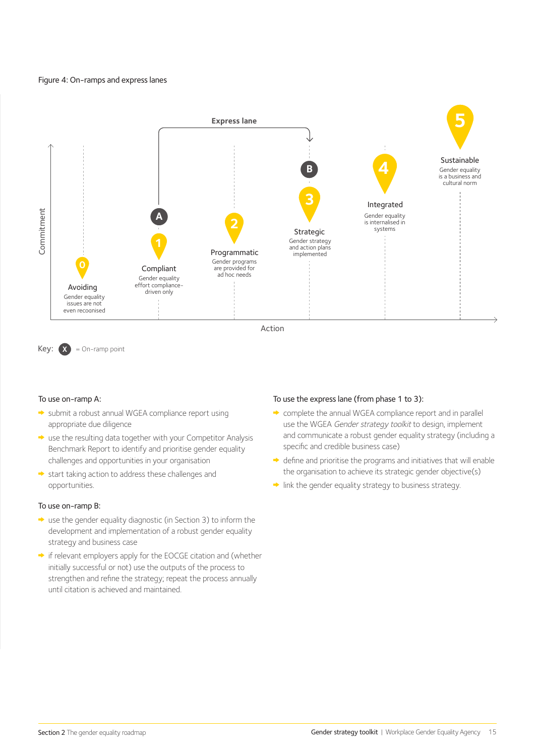#### Figure 4: On-ramps and express lanes



 $Key: **X** = On-ramp point$ 

#### To use on-ramp A:

- submit a robust annual WGEA compliance report using appropriate due diligence
- use the resulting data together with your Competitor Analysis Benchmark Report to identify and prioritise gender equality challenges and opportunities in your organisation
- start taking action to address these challenges and opportunities.

#### To use on-ramp B:

- $\rightarrow$  use the gender equality diagnostic (in Section 3) to inform the development and implementation of a robust gender equality strategy and business case
- if relevant employers apply for the EOCGE citation and (whether initially successful or not) use the outputs of the process to strengthen and refine the strategy; repeat the process annually until citation is achieved and maintained.

#### To use the express lane (from phase 1 to 3):

- complete the annual WGEA compliance report and in parallel use the WGEA Gender strategy toolkit to design, implement and communicate a robust gender equality strategy (including a specific and credible business case)
- $\rightarrow$  define and prioritise the programs and initiatives that will enable the organisation to achieve its strategic gender objective(s)
- $\rightarrow$  link the gender equality strategy to business strategy.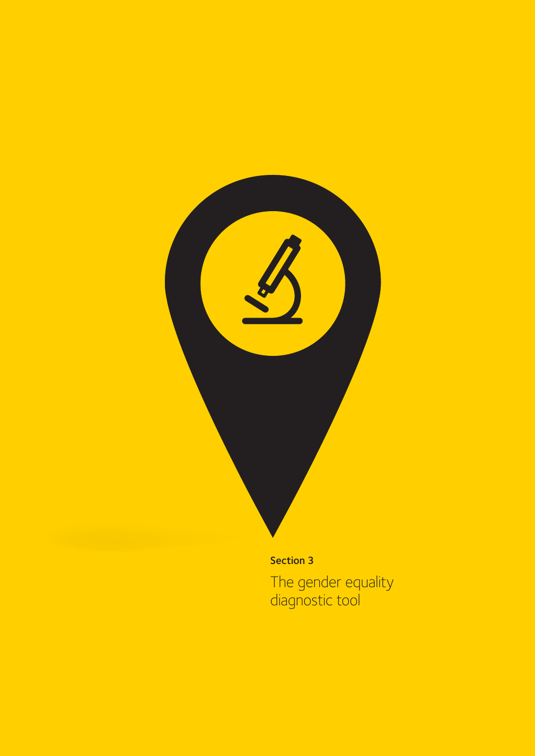

The gender equality diagnostic tool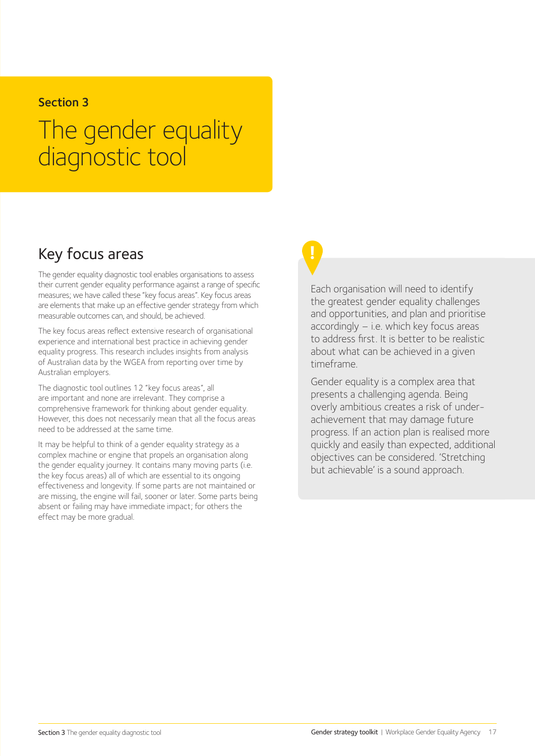#### Section 3

## The gender equality diagnostic tool

## Key focus areas

The gender equality diagnostic tool enables organisations to assess their current gender equality performance against a range of specific measures; we have called these "key focus areas". Key focus areas are elements that make up an effective gender strategy from which measurable outcomes can, and should, be achieved.

The key focus areas reflect extensive research of organisational experience and international best practice in achieving gender equality progress. This research includes insights from analysis of Australian data by the WGEA from reporting over time by Australian employers.

The diagnostic tool outlines 12 "key focus areas", all are important and none are irrelevant. They comprise a comprehensive framework for thinking about gender equality. However, this does not necessarily mean that all the focus areas need to be addressed at the same time.

It may be helpful to think of a gender equality strategy as a complex machine or engine that propels an organisation along the gender equality journey. It contains many moving parts (i.e. the key focus areas) all of which are essential to its ongoing effectiveness and longevity. If some parts are not maintained or are missing, the engine will fail, sooner or later. Some parts being absent or failing may have immediate impact; for others the effect may be more gradual.

Each organisation will need to identify the greatest gender equality challenges and opportunities, and plan and prioritise accordingly – i.e. which key focus areas to address first. It is better to be realistic about what can be achieved in a given timeframe.

Gender equality is a complex area that presents a challenging agenda. Being overly ambitious creates a risk of underachievement that may damage future progress. If an action plan is realised more quickly and easily than expected, additional objectives can be considered. 'Stretching but achievable' is a sound approach.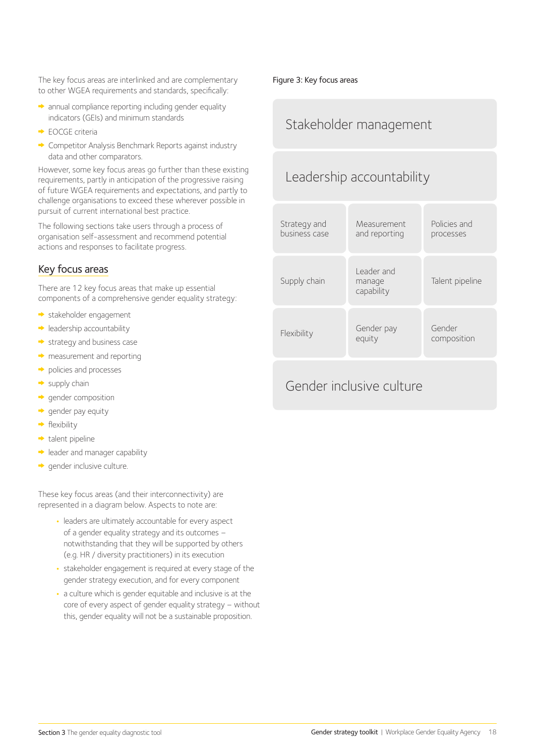The key focus areas are interlinked and are complementary to other WGEA requirements and standards, specifically:

- $\rightarrow$  annual compliance reporting including gender equality indicators (GEIs) and minimum standards
- ◆ FOCGE criteria
- Competitor Analysis Benchmark Reports against industry data and other comparators.

However, some key focus areas go further than these existing requirements, partly in anticipation of the progressive raising of future WGEA requirements and expectations, and partly to challenge organisations to exceed these wherever possible in pursuit of current international best practice.

The following sections take users through a process of organisation self-assessment and recommend potential actions and responses to facilitate progress.

#### Key focus areas

There are 12 key focus areas that make up essential components of a comprehensive gender equality strategy:

- stakeholder engagement
- $\rightarrow$  leadership accountability
- $\rightarrow$  strategy and business case
- $\rightarrow$  measurement and reporting
- policies and processes
- $\rightarrow$  supply chain
- gender composition
- $\rightarrow$  gender pay equity
- $\rightarrow$  flexibility
- $\rightarrow$  talent pipeline
- **In the leader and manager capability**
- $\rightarrow$  gender inclusive culture.

These key focus areas (and their interconnectivity) are represented in a diagram below. Aspects to note are:

- **•** leaders are ultimately accountable for every aspect of a gender equality strategy and its outcomes – notwithstanding that they will be supported by others (e.g. HR / diversity practitioners) in its execution
- **•** stakeholder engagement is required at every stage of the gender strategy execution, and for every component
- **•** a culture which is gender equitable and inclusive is at the core of every aspect of gender equality strategy – without this, gender equality will not be a sustainable proposition.

#### Figure 3: Key focus areas

### Stakeholder management

## Leadership accountability



### Gender inclusive culture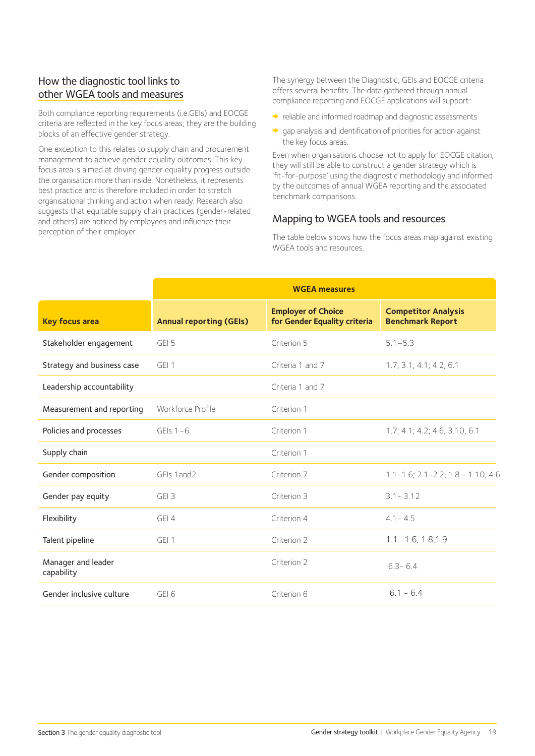#### How the diagnostic tool links to other WGEA tools and measures

Both compliance reporting requirements (i.e.GEIs) and EOCGE criteria are reflected in the key focus areas; they are the building blocks of an effective gender strategy.

One exception to this relates to supply chain and procurement management to achieve gender equality outcomes. This key focus area is aimed at driving gender equality progress outside the organisation more than inside. Nonetheless, it represents best practice and is therefore included in order to stretch organisational thinking and action when ready. Research also suggests that equitable supply chain practices (gender-related and others) are noticed by employees and influence their perception of their employer.

The synergy between the Diagnostic, GEIs and EOCGE criteria offers several benefits. The data gathered through annual compliance reporting and EOCGE applications will support:

- $\rightarrow$  reliable and informed roadmap and diagnostic assessments
- gap analysis and identification of priorities for action against the key focus areas.

Even when organisations choose not to apply for EOCGE citation, they will still be able to construct a gender strategy which is 'fit-for-purpose' using the diagnostic methodology and informed by the outcomes of annual WGEA reporting and the associated benchmark comparisons.

#### Mapping to WGEA tools and resources

The table below shows how the focus areas map against existing WGEA tools and resources.

|                                  | <b>WGEA measures</b>           |                                                           |                                                       |
|----------------------------------|--------------------------------|-----------------------------------------------------------|-------------------------------------------------------|
| <b>Key focus area</b>            | <b>Annual reporting (GEIs)</b> | <b>Employer of Choice</b><br>for Gender Equality criteria | <b>Competitor Analysis</b><br><b>Benchmark Report</b> |
| Stakeholder engagement           | GEI 5                          | Criterion 5                                               | $5.1 - 5.3$                                           |
| Strategy and business case       | GFI1                           | Criteria 1 and 7                                          | 1.7; 3.1; 4.1; 4.2; 6.1                               |
| Leadership accountability        |                                | Criteria 1 and 7                                          |                                                       |
| Measurement and reporting        | Workforce Profile              | Criterion 1                                               |                                                       |
| Policies and processes           | GEIs $1-6$                     | Criterion 1                                               | 1.7; 4.1; 4.2; 4.6, 3.10, 6.1                         |
| Supply chain                     |                                | Criterion 1                                               |                                                       |
| Gender composition               | GEIs 1 and 2                   | Criterion 7                                               | $1.1 - 1.6$ ; $2.1 - 2.2$ , $1.8 - 1.10$ , $4.6$      |
| Gender pay equity                | GEI 3                          | Criterion 3                                               | $3.1 - 3.12$                                          |
| Flexibility                      | GEI 4                          | Criterion 4                                               | $4.1 - 4.5$                                           |
| Talent pipeline                  | GEI 1                          | Criterion 2                                               | $1.1 - 1.6, 1.8, 1.9$                                 |
| Manager and leader<br>capability |                                | Criterion 2                                               | $6.3 - 6.4$                                           |
| Gender inclusive culture         | GFI6                           | Criterion 6                                               | $6.1 - 6.4$                                           |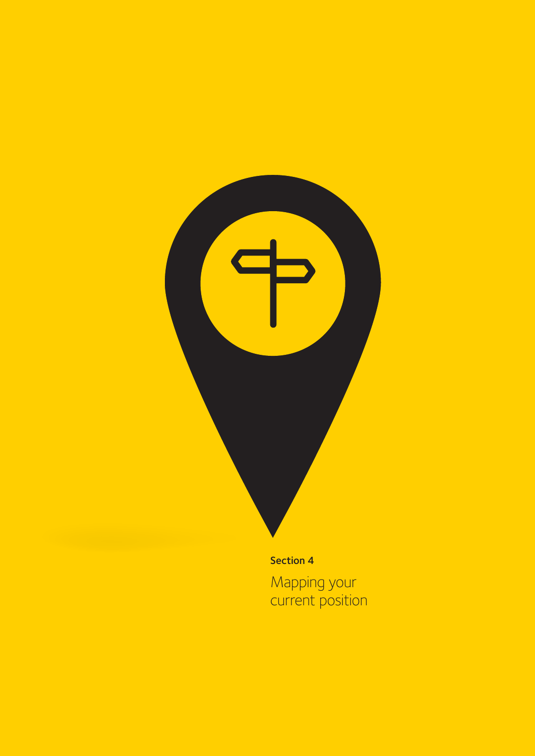

Mapping your current position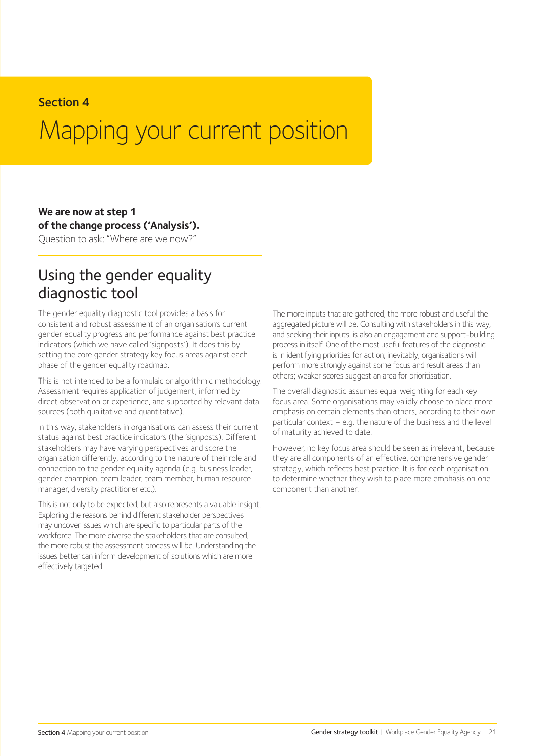#### Section 4

## Mapping your current position

### **We are now at step 1 of the change process ('Analysis').**

Question to ask: "Where are we now?"

## Using the gender equality diagnostic tool

The gender equality diagnostic tool provides a basis for consistent and robust assessment of an organisation's current gender equality progress and performance against best practice indicators (which we have called 'signposts'). It does this by setting the core gender strategy key focus areas against each phase of the gender equality roadmap.

This is not intended to be a formulaic or algorithmic methodology. Assessment requires application of judgement, informed by direct observation or experience, and supported by relevant data sources (both qualitative and quantitative).

In this way, stakeholders in organisations can assess their current status against best practice indicators (the 'signposts). Different stakeholders may have varying perspectives and score the organisation differently, according to the nature of their role and connection to the gender equality agenda (e.g. business leader, gender champion, team leader, team member, human resource manager, diversity practitioner etc.).

This is not only to be expected, but also represents a valuable insight. Exploring the reasons behind different stakeholder perspectives may uncover issues which are specific to particular parts of the workforce. The more diverse the stakeholders that are consulted, the more robust the assessment process will be. Understanding the issues better can inform development of solutions which are more effectively targeted.

The more inputs that are gathered, the more robust and useful the aggregated picture will be. Consulting with stakeholders in this way, and seeking their inputs, is also an engagement and support-building process in itself. One of the most useful features of the diagnostic is in identifying priorities for action; inevitably, organisations will perform more strongly against some focus and result areas than others; weaker scores suggest an area for prioritisation.

The overall diagnostic assumes equal weighting for each key focus area. Some organisations may validly choose to place more emphasis on certain elements than others, according to their own particular context – e.g. the nature of the business and the level of maturity achieved to date.

However, no key focus area should be seen as irrelevant, because they are all components of an effective, comprehensive gender strategy, which reflects best practice. It is for each organisation to determine whether they wish to place more emphasis on one component than another.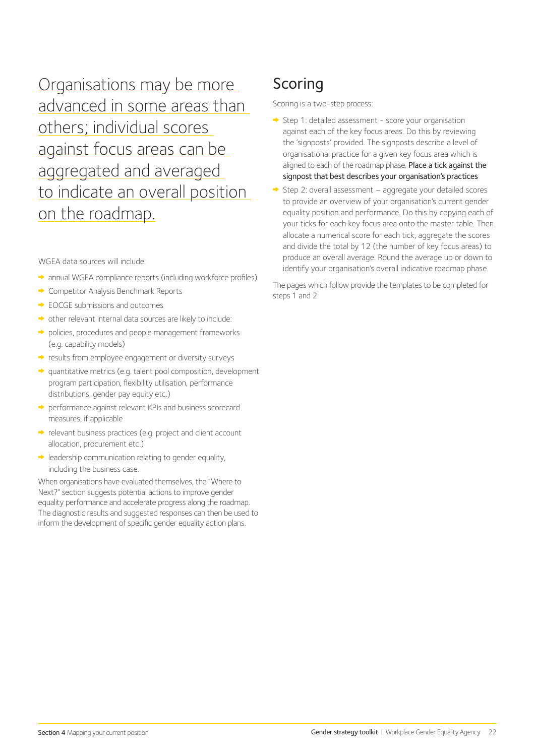Organisations may be more advanced in some areas than others; individual scores against focus areas can be aggregated and averaged to indicate an overall position on the roadmap.

WGEA data sources will include:

- annual WGEA compliance reports (including workforce profiles)
- **► Competitor Analysis Benchmark Reports**
- **► EOCGE submissions and outcomes**
- other relevant internal data sources are likely to include:
- policies, procedures and people management frameworks (e.g. capability models)
- results from employee engagement or diversity surveys
- quantitative metrics (e.g. talent pool composition, development program participation, flexibility utilisation, performance distributions, gender pay equity etc.)
- performance against relevant KPIs and business scorecard measures, if applicable
- relevant business practices (e.g. project and client account allocation, procurement etc.)
- $\rightarrow$  leadership communication relating to gender equality, including the business case.

When organisations have evaluated themselves, the "Where to Next?" section suggests potential actions to improve gender equality performance and accelerate progress along the roadmap. The diagnostic results and suggested responses can then be used to inform the development of specific gender equality action plans.

## **Scoring**

Scoring is a two-step process:

- $\Rightarrow$  Step 1: detailed assessment score your organisation against each of the key focus areas. Do this by reviewing the 'signposts' provided. The signposts describe a level of organisational practice for a given key focus area which is aligned to each of the roadmap phase. Place a tick against the signpost that best describes your organisation's practices
- Step 2: overall assessment aggregate your detailed scores to provide an overview of your organisation's current gender equality position and performance. Do this by copying each of your ticks for each key focus area onto the master table. Then allocate a numerical score for each tick, aggregate the scores and divide the total by 12 (the number of key focus areas) to produce an overall average. Round the average up or down to identify your organisation's overall indicative roadmap phase.

The pages which follow provide the templates to be completed for steps 1 and 2.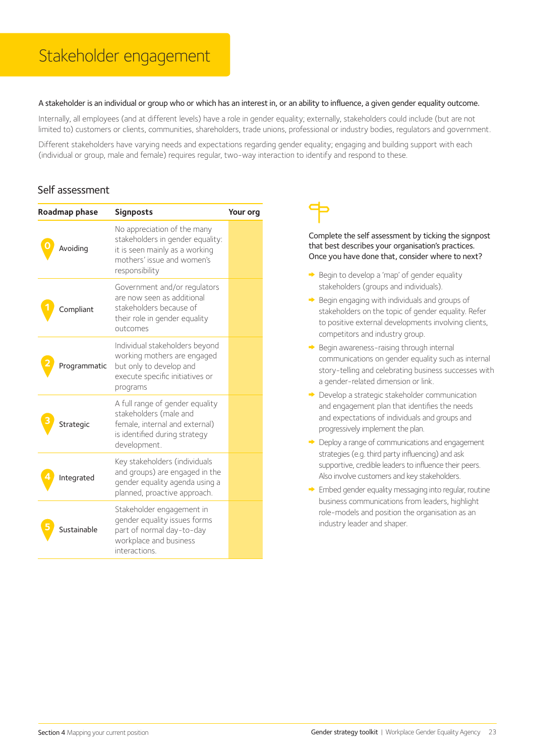#### A stakeholder is an individual or group who or which has an interest in, or an ability to influence, a given gender equality outcome.

Internally, all employees (and at different levels) have a role in gender equality; externally, stakeholders could include (but are not limited to) customers or clients, communities, shareholders, trade unions, professional or industry bodies, regulators and government.

Different stakeholders have varying needs and expectations regarding gender equality; engaging and building support with each (individual or group, male and female) requires regular, two-way interaction to identify and respond to these.

#### Self assessment

| Roadmap phase |              | <b>Signposts</b>                                                                                                                                  | Your org |
|---------------|--------------|---------------------------------------------------------------------------------------------------------------------------------------------------|----------|
|               | Avoiding     | No appreciation of the many<br>stakeholders in gender equality:<br>it is seen mainly as a working<br>mothers' issue and women's<br>responsibility |          |
|               | compliant    | Government and/or regulators<br>are now seen as additional<br>stakeholders because of<br>their role in gender equality<br>outcomes                |          |
|               | Programmatic | Individual stakeholders beyond<br>working mothers are engaged<br>but only to develop and<br>execute specific initiatives or<br>programs           |          |
|               | Strategic    | A full range of gender equality<br>stakeholders (male and<br>female, internal and external)<br>is identified during strategy<br>development.      |          |
|               | Integrated   | Key stakeholders (individuals<br>and groups) are engaged in the<br>gender equality agenda using a<br>planned, proactive approach.                 |          |
|               | Sustainable  | Stakeholder engagement in<br>gender equality issues forms<br>part of normal day-to-day<br>workplace and business<br>interactions.                 |          |

- Begin to develop a 'map' of gender equality stakeholders (groups and individuals).
- $\rightarrow$  Begin engaging with individuals and groups of stakeholders on the topic of gender equality. Refer to positive external developments involving clients, competitors and industry group.
- $\rightarrow$  Begin awareness-raising through internal communications on gender equality such as internal story-telling and celebrating business successes with a gender-related dimension or link.
- Develop a strategic stakeholder communication and engagement plan that identifies the needs and expectations of individuals and groups and progressively implement the plan.
- Deploy a range of communications and engagement strategies (e.g. third party influencing) and ask supportive, credible leaders to influence their peers. Also involve customers and key stakeholders.
- Embed gender equality messaging into regular, routine business communications from leaders, highlight role-models and position the organisation as an industry leader and shaper.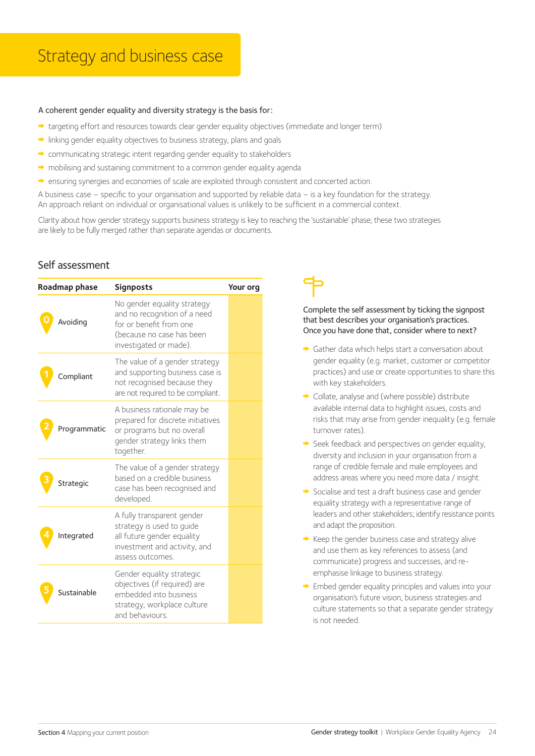#### A coherent gender equality and diversity strategy is the basis for:

- targeting effort and resources towards clear gender equality objectives (immediate and longer term)
- $\rightarrow$  linking gender equality objectives to business strategy, plans and goals
- communicating strategic intent regarding gender equality to stakeholders
- $\rightarrow$  mobilising and sustaining commitment to a common gender equality agenda
- ensuring synergies and economies of scale are exploited through consistent and concerted action.

A business case – specific to your organisation and supported by reliable data – is a key foundation for the strategy. An approach reliant on individual or organisational values is unlikely to be sufficient in a commercial context.

Clarity about how gender strategy supports business strategy is key to reaching the 'sustainable' phase; these two strategies are likely to be fully merged rather than separate agendas or documents.

#### Self assessment

| Roadmap phase | <b>Signposts</b>                                                                                                                              | Your org |
|---------------|-----------------------------------------------------------------------------------------------------------------------------------------------|----------|
| Avoiding      | No gender equality strategy<br>and no recognition of a need<br>for or benefit from one<br>(because no case has been<br>investigated or made). |          |
| compliant     | The value of a gender strategy<br>and supporting business case is<br>not recognised because they<br>are not required to be compliant.         |          |
| Programmatic  | A business rationale may be<br>prepared for discrete initiatives<br>or programs but no overall<br>gender strategy links them<br>together.     |          |
| Strategic     | The value of a gender strategy<br>based on a credible business<br>case has been recognised and<br>developed.                                  |          |
| Integrated    | A fully transparent gender<br>strategy is used to guide<br>all future gender equality<br>investment and activity, and<br>assess outcomes.     |          |
| Sustainable   | Gender equality strategic<br>objectives (if required) are<br>embedded into business<br>strategy, workplace culture<br>and behaviours.         |          |

- Gather data which helps start a conversation about gender equality (e.g. market, customer or competitor practices) and use or create opportunities to share this with key stakeholders.
- Collate, analyse and (where possible) distribute available internal data to highlight issues, costs and risks that may arise from gender inequality (e.g. female turnover rates).
- $\rightarrow$  Seek feedback and perspectives on gender equality, diversity and inclusion in your organisation from a range of credible female and male employees and address areas where you need more data / insight.
- Socialise and test a draft business case and gender equality strategy with a representative range of leaders and other stakeholders; identify resistance points and adapt the proposition.
- $\rightarrow$  Keep the gender business case and strategy alive and use them as key references to assess (and communicate) progress and successes, and reemphasise linkage to business strategy.
- Embed gender equality principles and values into your organisation's future vision, business strategies and culture statements so that a separate gender strategy is not needed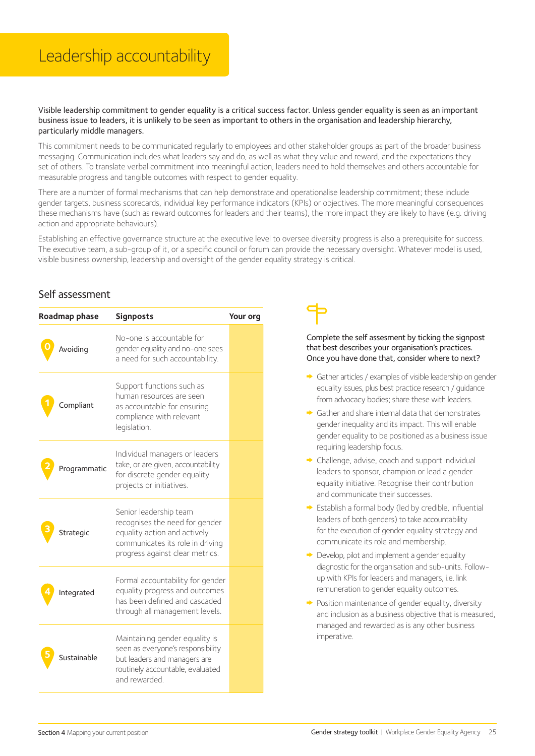## Leadership accountability

#### Visible leadership commitment to gender equality is a critical success factor. Unless gender equality is seen as an important business issue to leaders, it is unlikely to be seen as important to others in the organisation and leadership hierarchy, particularly middle managers.

This commitment needs to be communicated regularly to employees and other stakeholder groups as part of the broader business messaging. Communication includes what leaders say and do, as well as what they value and reward, and the expectations they set of others. To translate verbal commitment into meaningful action, leaders need to hold themselves and others accountable for measurable progress and tangible outcomes with respect to gender equality.

There are a number of formal mechanisms that can help demonstrate and operationalise leadership commitment; these include gender targets, business scorecards, individual key performance indicators (KPIs) or objectives. The more meaningful consequences these mechanisms have (such as reward outcomes for leaders and their teams), the more impact they are likely to have (e.g. driving action and appropriate behaviours).

Establishing an effective governance structure at the executive level to oversee diversity progress is also a prerequisite for success. The executive team, a sub-group of it, or a specific council or forum can provide the necessary oversight. Whatever model is used, visible business ownership, leadership and oversight of the gender equality strategy is critical.

#### Self assessment

| Roadmap phase |              | <b>Signposts</b>                                                                                                                                                | Your org |
|---------------|--------------|-----------------------------------------------------------------------------------------------------------------------------------------------------------------|----------|
|               | Avoiding     | No-one is accountable for<br>gender equality and no-one sees<br>a need for such accountability.                                                                 |          |
|               | ompliant     | Support functions such as<br>human resources are seen<br>as accountable for ensuring<br>compliance with relevant<br>legislation.                                |          |
|               | Programmatic | Individual managers or leaders<br>take, or are given, accountability<br>for discrete gender equality<br>projects or initiatives.                                |          |
|               | Strategic    | Senior leadership team<br>recognises the need for gender<br>equality action and actively<br>communicates its role in driving<br>progress against clear metrics. |          |
|               | Integrated   | Formal accountability for gender<br>equality progress and outcomes<br>has been defined and cascaded<br>through all management levels.                           |          |
|               | Sustainable  | Maintaining gender equality is<br>seen as everyone's responsibility<br>but leaders and managers are<br>routinely accountable, evaluated<br>and rewarded.        |          |

- Gather articles / examples of visible leadership on gender equality issues, plus best practice research / guidance from advocacy bodies; share these with leaders.
- Gather and share internal data that demonstrates gender inequality and its impact. This will enable gender equality to be positioned as a business issue requiring leadership focus.
- **►** Challenge, advise, coach and support individual leaders to sponsor, champion or lead a gender equality initiative. Recognise their contribution and communicate their successes.
- $\rightarrow$  Establish a formal body (led by credible, influential leaders of both genders) to take accountability for the execution of gender equality strategy and communicate its role and membership.
- $\rightarrow$  Develop, pilot and implement a gender equality diagnostic for the organisation and sub-units. Followup with KPIs for leaders and managers, i.e. link remuneration to gender equality outcomes.
- Position maintenance of gender equality, diversity and inclusion as a business objective that is measured, managed and rewarded as is any other business imperative.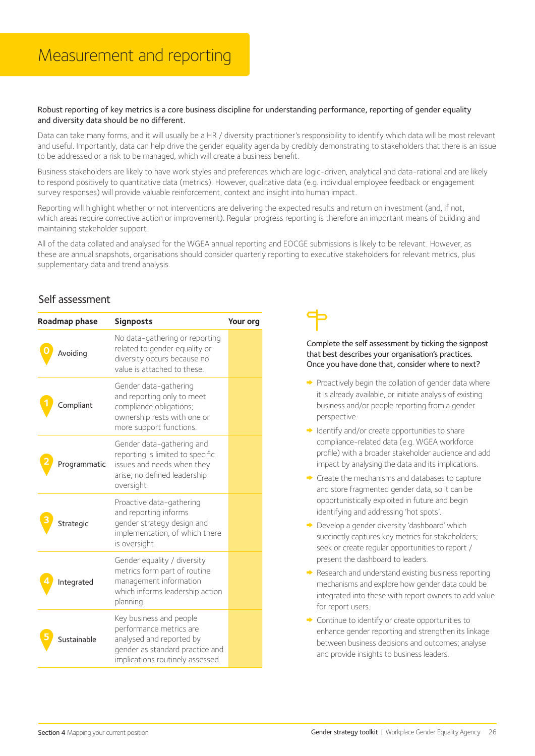## Measurement and reporting

#### Robust reporting of key metrics is a core business discipline for understanding performance, reporting of gender equality and diversity data should be no different.

Data can take many forms, and it will usually be a HR / diversity practitioner's responsibility to identify which data will be most relevant and useful. Importantly, data can help drive the gender equality agenda by credibly demonstrating to stakeholders that there is an issue to be addressed or a risk to be managed, which will create a business benefit.

Business stakeholders are likely to have work styles and preferences which are logic-driven, analytical and data-rational and are likely to respond positively to quantitative data (metrics). However, qualitative data (e.g. individual employee feedback or engagement survey responses) will provide valuable reinforcement, context and insight into human impact.

Reporting will highlight whether or not interventions are delivering the expected results and return on investment (and, if not, which areas require corrective action or improvement). Regular progress reporting is therefore an important means of building and maintaining stakeholder support.

All of the data collated and analysed for the WGEA annual reporting and EOCGE submissions is likely to be relevant. However, as these are annual snapshots, organisations should consider quarterly reporting to executive stakeholders for relevant metrics, plus supplementary data and trend analysis.

#### Self assessment

| Roadmap phase |              | <b>Signposts</b>                                                                                                                                      | Your org |
|---------------|--------------|-------------------------------------------------------------------------------------------------------------------------------------------------------|----------|
|               | Avoiding     | No data-gathering or reporting<br>related to gender equality or<br>diversity occurs because no<br>value is attached to these.                         |          |
|               | ompliant.    | Gender data-gathering<br>and reporting only to meet<br>compliance obligations;<br>ownership rests with one or<br>more support functions.              |          |
|               | Programmatic | Gender data-gathering and<br>reporting is limited to specific<br>issues and needs when they<br>arise; no defined leadership<br>oversight.             |          |
|               | Strategic    | Proactive data-gathering<br>and reporting informs<br>gender strategy design and<br>implementation, of which there<br>is oversight.                    |          |
|               | Integrated   | Gender equality / diversity<br>metrics form part of routine<br>management information<br>which informs leadership action<br>planning.                 |          |
|               | Sustainable  | Key business and people<br>performance metrics are<br>analysed and reported by<br>gender as standard practice and<br>implications routinely assessed. |          |



- $\rightarrow$  Proactively begin the collation of gender data where it is already available, or initiate analysis of existing business and/or people reporting from a gender perspective.
- $\rightarrow$  Identify and/or create opportunities to share compliance-related data (e.g. WGEA workforce profile) with a broader stakeholder audience and add impact by analysing the data and its implications.
- Create the mechanisms and databases to capture and store fragmented gender data, so it can be opportunistically exploited in future and begin identifying and addressing 'hot spots'.
- → Develop a gender diversity 'dashboard' which succinctly captures key metrics for stakeholders; seek or create regular opportunities to report / present the dashboard to leaders.
- Research and understand existing business reporting mechanisms and explore how gender data could be integrated into these with report owners to add value for report users.
- Continue to identify or create opportunities to enhance gender reporting and strengthen its linkage between business decisions and outcomes; analyse and provide insights to business leaders.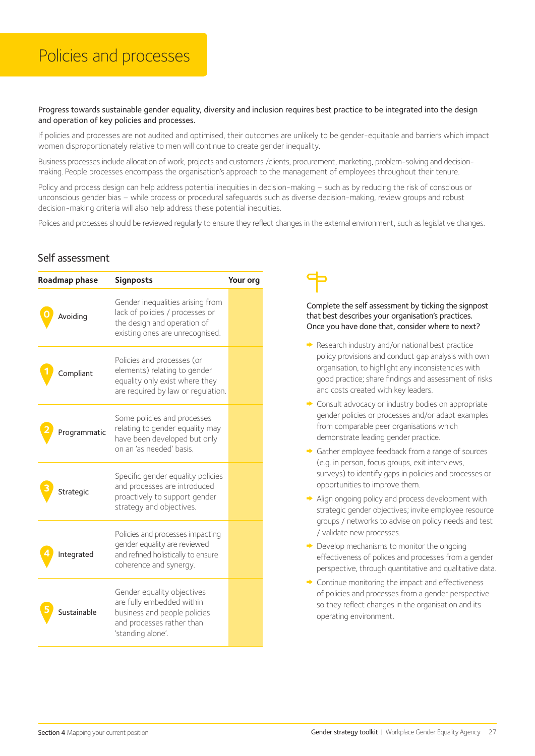Progress towards sustainable gender equality, diversity and inclusion requires best practice to be integrated into the design and operation of key policies and processes.

If policies and processes are not audited and optimised, their outcomes are unlikely to be gender-equitable and barriers which impact women disproportionately relative to men will continue to create gender inequality.

Business processes include allocation of work, projects and customers /clients, procurement, marketing, problem-solving and decisionmaking. People processes encompass the organisation's approach to the management of employees throughout their tenure.

Policy and process design can help address potential inequities in decision-making – such as by reducing the risk of conscious or unconscious gender bias – while process or procedural safeguards such as diverse decision-making, review groups and robust decision-making criteria will also help address these potential inequities.

Polices and processes should be reviewed regularly to ensure they reflect changes in the external environment, such as legislative changes.

#### Self assessment

| Roadmap phase |              | <b>Signposts</b>                                                                                                                          | Your org |
|---------------|--------------|-------------------------------------------------------------------------------------------------------------------------------------------|----------|
|               | Avoiding     | Gender inequalities arising from<br>lack of policies / processes or<br>the design and operation of<br>existing ones are unrecognised.     |          |
|               | Compliant    | Policies and processes (or<br>elements) relating to gender<br>equality only exist where they<br>are required by law or regulation.        |          |
|               | Programmatic | Some policies and processes<br>relating to gender equality may<br>have been developed but only<br>on an 'as needed' basis.                |          |
|               | Strategic    | Specific gender equality policies<br>and processes are introduced<br>proactively to support gender<br>strategy and objectives.            |          |
|               | Integrated   | Policies and processes impacting<br>gender equality are reviewed<br>and refined holistically to ensure<br>coherence and synerqy.          |          |
|               | Sustainable  | Gender equality objectives<br>are fully embedded within<br>business and people policies<br>and processes rather than<br>'standing alone'. |          |

- Research industry and/or national best practice policy provisions and conduct gap analysis with own organisation, to highlight any inconsistencies with good practice; share findings and assessment of risks and costs created with key leaders.
- **►** Consult advocacy or industry bodies on appropriate gender policies or processes and/or adapt examples from comparable peer organisations which demonstrate leading gender practice.
- Gather employee feedback from a range of sources (e.g. in person, focus groups, exit interviews, surveys) to identify gaps in policies and processes or opportunities to improve them.
- Align ongoing policy and process development with strategic gender objectives; invite employee resource groups / networks to advise on policy needs and test / validate new processes.
- $\rightarrow$  Develop mechanisms to monitor the ongoing effectiveness of polices and processes from a gender perspective, through quantitative and qualitative data.
- $\rightarrow$  Continue monitoring the impact and effectiveness of policies and processes from a gender perspective so they reflect changes in the organisation and its operating environment.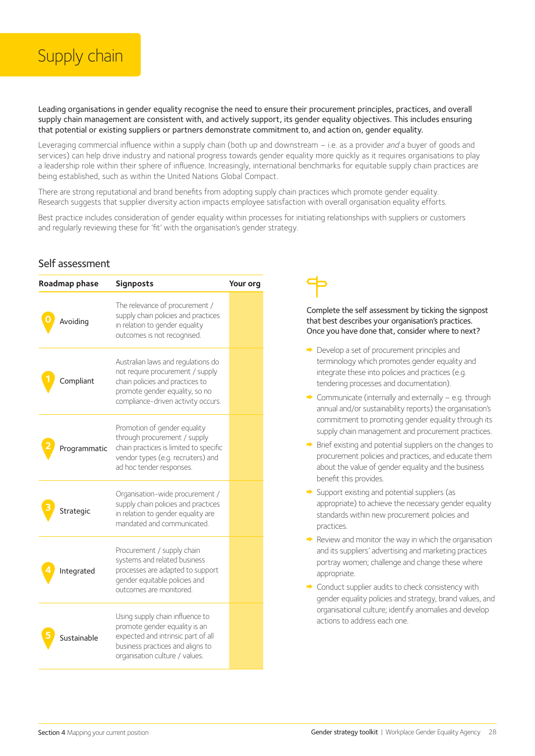

Leading organisations in gender equality recognise the need to ensure their procurement principles, practices, and overall supply chain management are consistent with, and actively support, its gender equality objectives. This includes ensuring that potential or existing suppliers or partners demonstrate commitment to, and action on, gender equality.

Leveraging commercial influence within a supply chain (both up and downstream – i.e. as a provider and a buyer of goods and services) can help drive industry and national progress towards gender equality more quickly as it requires organisations to play a leadership role within their sphere of influence. Increasingly, international benchmarks for equitable supply chain practices are being established, such as within the United Nations Global Compact.

There are strong reputational and brand benefits from adopting supply chain practices which promote gender equality. Research suggests that supplier diversity action impacts employee satisfaction with overall organisation equality efforts.

Best practice includes consideration of gender equality within processes for initiating relationships with suppliers or customers and regularly reviewing these for 'fit' with the organisation's gender strategy.

#### Self assessment

| Roadmap phase |              | <b>Signposts</b>                                                                                                                                                                  | Your org |
|---------------|--------------|-----------------------------------------------------------------------------------------------------------------------------------------------------------------------------------|----------|
|               | Avoidina     | The relevance of procurement /<br>supply chain policies and practices<br>in relation to gender equality<br>outcomes is not recognised.                                            |          |
|               | compliant    | Australian laws and regulations do<br>not require procurement / supply<br>chain policies and practices to<br>promote gender equality, so no<br>compliance-driven activity occurs. |          |
|               | Programmatic | Promotion of gender equality<br>through procurement / supply<br>chain practices is limited to specific<br>vendor types (e.g. recruiters) and<br>ad hoc tender responses.          |          |
|               | Strategic    | Organisation-wide procurement /<br>supply chain policies and practices<br>in relation to gender equality are<br>mandated and communicated.                                        |          |
|               | Integrated   | Procurement / supply chain<br>systems and related business<br>processes are adapted to support<br>gender equitable policies and<br>outcomes are monitored.                        |          |
|               | Sustainable  | Using supply chain influence to<br>promote gender equality is an<br>expected and intrinsic part of all<br>business practices and aligns to<br>organisation culture / values.      |          |

- Develop a set of procurement principles and terminology which promotes gender equality and integrate these into policies and practices (e.g. tendering processes and documentation).
- ◆ Communicate (internally and externally e.g. through annual and/or sustainability reports) the organisation's commitment to promoting gender equality through its supply chain management and procurement practices.
- $\rightarrow$  Brief existing and potential suppliers on the changes to procurement policies and practices, and educate them about the value of gender equality and the business benefit this provides.
- Support existing and potential suppliers (as appropriate) to achieve the necessary gender equality standards within new procurement policies and practices.
- $\rightarrow$  Review and monitor the way in which the organisation and its suppliers' advertising and marketing practices portray women; challenge and change these where appropriate.
- Conduct supplier audits to check consistency with gender equality policies and strategy, brand values, and organisational culture; identify anomalies and develop actions to address each one.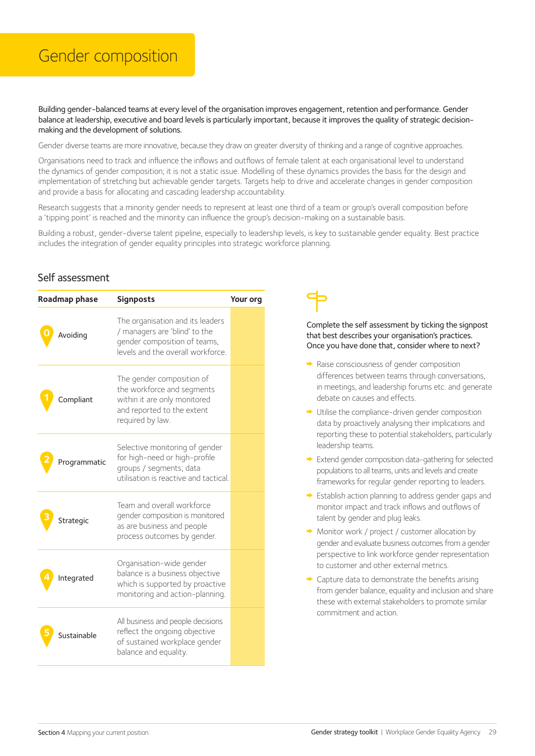## Gender composition

Building gender-balanced teams at every level of the organisation improves engagement, retention and performance. Gender balance at leadership, executive and board levels is particularly important, because it improves the quality of strategic decisionmaking and the development of solutions.

Gender diverse teams are more innovative, because they draw on greater diversity of thinking and a range of cognitive approaches.

Organisations need to track and influence the inflows and outflows of female talent at each organisational level to understand the dynamics of gender composition; it is not a static issue. Modelling of these dynamics provides the basis for the design and implementation of stretching but achievable gender targets. Targets help to drive and accelerate changes in gender composition and provide a basis for allocating and cascading leadership accountability.

Research suggests that a minority gender needs to represent at least one third of a team or group's overall composition before a 'tipping point' is reached and the minority can influence the group's decision-making on a sustainable basis.

Building a robust, gender-diverse talent pipeline, especially to leadership levels, is key to sustainable gender equality. Best practice includes the integration of gender equality principles into strategic workforce planning.

#### Self assessment

| Roadmap phase |              | <b>Signposts</b>                                                                                                                          | Your org |
|---------------|--------------|-------------------------------------------------------------------------------------------------------------------------------------------|----------|
|               | Avoidina     | The organisation and its leaders<br>/ managers are 'blind' to the<br>gender composition of teams,<br>levels and the overall workforce.    |          |
|               | compliant    | The gender composition of<br>the workforce and segments<br>within it are only monitored<br>and reported to the extent<br>required by law. |          |
|               | Programmatic | Selective monitoring of gender<br>for high-need or high-profile<br>groups / segments; data<br>utilisation is reactive and tactical        |          |
|               | Strategic    | Team and overall workforce<br>gender composition is monitored<br>as are business and people<br>process outcomes by gender.                |          |
|               | Integrated   | Organisation-wide gender<br>balance is a business objective<br>which is supported by proactive<br>monitoring and action-planning.         |          |
|               | Sustainable  | All business and people decisions<br>reflect the ongoing objective<br>of sustained workplace gender<br>balance and equality.              |          |

- $\rightarrow$  Raise consciousness of gender composition differences between teams through conversations. in meetings, and leadership forums etc. and generate debate on causes and effects.
- Utilise the compliance-driven gender composition data by proactively analysing their implications and reporting these to potential stakeholders, particularly leadership teams.
- Extend gender composition data-gathering for selected populations to all teams, units and levels and create frameworks for regular gender reporting to leaders.
- Establish action planning to address gender gaps and monitor impact and track inflows and outflows of talent by gender and plug leaks.
- ◆ Monitor work / project / customer allocation by gender and evaluate business outcomes from a gender perspective to link workforce gender representation to customer and other external metrics.
- Capture data to demonstrate the benefits arising from gender balance, equality and inclusion and share these with external stakeholders to promote similar commitment and action.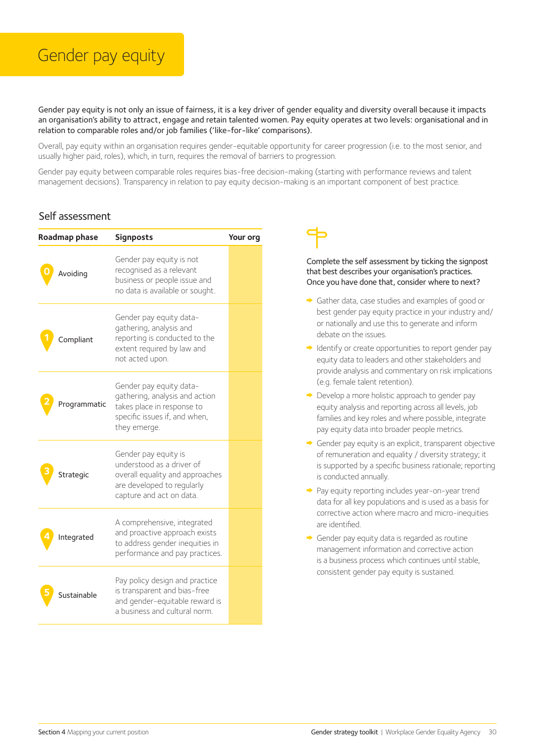## Gender pay equity

Gender pay equity is not only an issue of fairness, it is a key driver of gender equality and diversity overall because it impacts an organisation's ability to attract, engage and retain talented women. Pay equity operates at two levels: organisational and in relation to comparable roles and/or job families ('like-for-like' comparisons).

Overall, pay equity within an organisation requires gender-equitable opportunity for career progression (i.e. to the most senior, and usually higher paid, roles), which, in turn, requires the removal of barriers to progression.

Gender pay equity between comparable roles requires bias-free decision-making (starting with performance reviews and talent management decisions). Transparency in relation to pay equity decision-making is an important component of best practice.

#### Self assessment

| Roadmap phase | <b>Signposts</b>                                                                                                                               | Your org |
|---------------|------------------------------------------------------------------------------------------------------------------------------------------------|----------|
| Avoiding      | Gender pay equity is not<br>recognised as a relevant<br>business or people issue and<br>no data is available or sought.                        |          |
| ompliant.     | Gender pay equity data-<br>gathering, analysis and<br>reporting is conducted to the<br>extent required by law and<br>not acted upon.           |          |
| Programmatic  | Gender pay equity data-<br>gathering, analysis and action<br>takes place in response to<br>specific issues if, and when,<br>they emerge.       |          |
| Strategic     | Gender pay equity is<br>understood as a driver of<br>overall equality and approaches<br>are developed to regularly<br>capture and act on data. |          |
| Integrated    | A comprehensive, integrated<br>and proactive approach exists<br>to address gender inequities in<br>performance and pay practices.              |          |
| Sustainable   | Pay policy design and practice<br>is transparent and bias-free<br>and gender-equitable reward is<br>a business and cultural norm.              |          |

- Gather data, case studies and examples of good or best gender pay equity practice in your industry and/ or nationally and use this to generate and inform debate on the issues.
- $\rightarrow$  Identify or create opportunities to report gender pay equity data to leaders and other stakeholders and provide analysis and commentary on risk implications (e.g. female talent retention).
- **►** Develop a more holistic approach to gender pay equity analysis and reporting across all levels, job families and key roles and where possible, integrate pay equity data into broader people metrics.
- Gender pay equity is an explicit, transparent objective of remuneration and equality / diversity strategy; it is supported by a specific business rationale; reporting is conducted annually.
- ◆ Pay equity reporting includes year-on-year trend data for all key populations and is used as a basis for corrective action where macro and micro-inequities are identified.
- Gender pay equity data is regarded as routine management information and corrective action is a business process which continues until stable, consistent gender pay equity is sustained.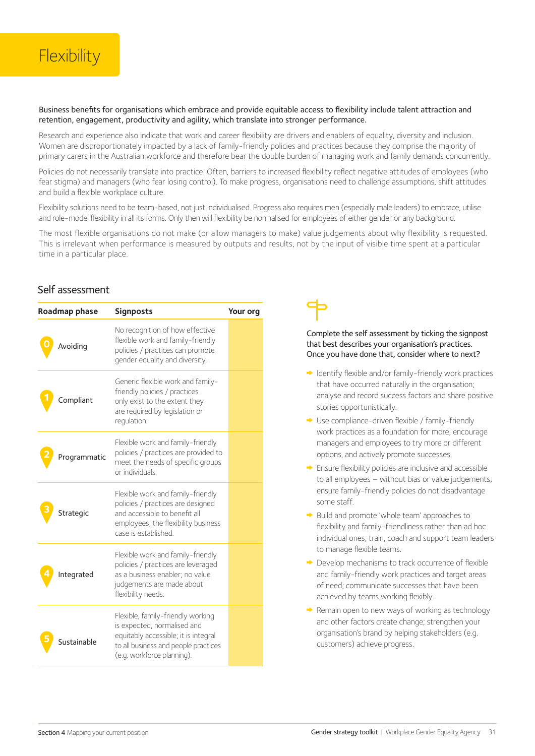#### Business benefits for organisations which embrace and provide equitable access to flexibility include talent attraction and retention, engagement, productivity and agility, which translate into stronger performance.

Research and experience also indicate that work and career flexibility are drivers and enablers of equality, diversity and inclusion. Women are disproportionately impacted by a lack of family-friendly policies and practices because they comprise the majority of primary carers in the Australian workforce and therefore bear the double burden of managing work and family demands concurrently.

Policies do not necessarily translate into practice. Often, barriers to increased flexibility reflect negative attitudes of employees (who fear stigma) and managers (who fear losing control). To make progress, organisations need to challenge assumptions, shift attitudes and build a flexible workplace culture.

Flexibility solutions need to be team-based, not just individualised. Progress also requires men (especially male leaders) to embrace, utilise and role-model flexibility in all its forms. Only then will flexibility be normalised for employees of either gender or any background.

The most flexible organisations do not make (or allow managers to make) value judgements about why flexibility is requested. This is irrelevant when performance is measured by outputs and results, not by the input of visible time spent at a particular time in a particular place.

#### Self assessment

| Roadmap phase | <b>Signposts</b>                                                                                                                                                               | Your org |
|---------------|--------------------------------------------------------------------------------------------------------------------------------------------------------------------------------|----------|
| Avoiding      | No recognition of how effective<br>flexible work and family-friendly<br>policies / practices can promote<br>gender equality and diversity.                                     |          |
| compliant     | Generic flexible work and family-<br>friendly policies / practices<br>only exist to the extent they<br>are required by legislation or<br>requlation.                           |          |
| Programmatic  | Flexible work and family-friendly<br>policies / practices are provided to<br>meet the needs of specific groups<br>or individuals                                               |          |
| Strategic     | Flexible work and family-friendly<br>policies / practices are designed<br>and accessible to benefit all<br>employees; the flexibility business<br>case is established.         |          |
| Integrated    | Flexible work and family-friendly<br>policies / practices are leveraged<br>as a business enabler; no value<br>judgements are made about<br>flexibility needs.                  |          |
| Sustainable   | Flexible, family-friendly working<br>is expected, normalised and<br>equitably accessible; it is integral<br>to all business and people practices<br>(e.g. workforce planning). |          |



- $\rightarrow$  Identify flexible and/or family-friendly work practices that have occurred naturally in the organisation; analyse and record success factors and share positive stories opportunistically.
- → Use compliance-driven flexible / family-friendly work practices as a foundation for more; encourage managers and employees to try more or different options, and actively promote successes.
- Ensure flexibility policies are inclusive and accessible to all employees – without bias or value judgements; ensure family-friendly policies do not disadvantage some staff.
- Build and promote 'whole team' approaches to flexibility and family-friendliness rather than ad hoc individual ones; train, coach and support team leaders to manage flexible teams.
- Develop mechanisms to track occurrence of flexible and family-friendly work practices and target areas of need; communicate successes that have been achieved by teams working flexibly.
- $\rightarrow$  Remain open to new ways of working as technology and other factors create change; strengthen your organisation's brand by helping stakeholders (e.g. customers) achieve progress.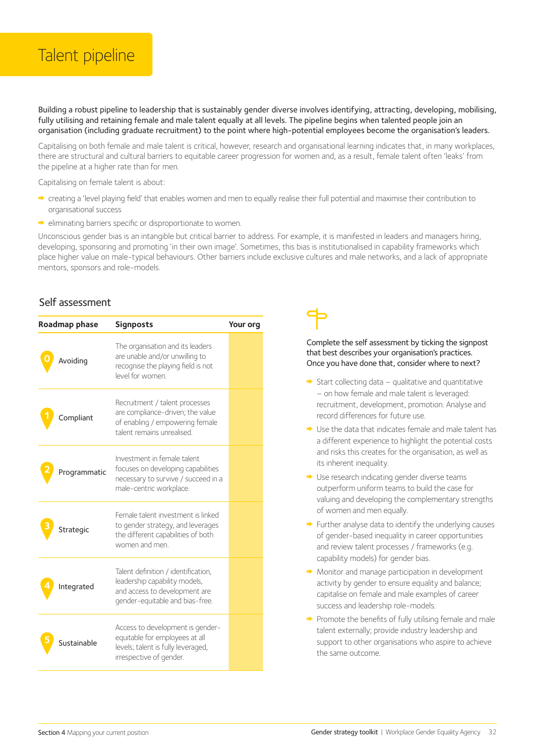## Talent pipeline

Building a robust pipeline to leadership that is sustainably gender diverse involves identifying, attracting, developing, mobilising, fully utilising and retaining female and male talent equally at all levels. The pipeline begins when talented people join an organisation (including graduate recruitment) to the point where high-potential employees become the organisation's leaders.

Capitalising on both female and male talent is critical, however, research and organisational learning indicates that, in many workplaces, there are structural and cultural barriers to equitable career progression for women and, as a result, female talent often 'leaks' from the pipeline at a higher rate than for men.

Capitalising on female talent is about:

- creating a 'level playing field' that enables women and men to equally realise their full potential and maximise their contribution to organisational success
- $\rightarrow$  eliminating barriers specific or disproportionate to women.

Unconscious gender bias is an intangible but critical barrier to address. For example, it is manifested in leaders and managers hiring, developing, sponsoring and promoting 'in their own image'. Sometimes, this bias is institutionalised in capability frameworks which place higher value on male-typical behaviours. Other barriers include exclusive cultures and male networks, and a lack of appropriate mentors, sponsors and role-models.

#### Self assessment

| Roadmap phase | <b>Signposts</b>                                                                                                                         | Your org |
|---------------|------------------------------------------------------------------------------------------------------------------------------------------|----------|
| Avoiding      | The organisation and its leaders<br>are unable and/or unwilling to<br>recognise the playing field is not<br>level for women              |          |
| compliant     | Recruitment / talent processes<br>are compliance-driven; the value<br>of enabling / empowering female<br>talent remains unrealised       |          |
| Programmatic  | Investment in female talent<br>focuses on developing capabilities<br>necessary to survive / succeed in a<br>male-centric workplace.      |          |
| Strategic     | Female talent investment is linked<br>to gender strategy, and leverages<br>the different capabilities of both<br>women and men.          |          |
| Integrated    | Talent definition / identification,<br>leadership capability models,<br>and access to development are<br>gender-equitable and bias-free. |          |
| Sustainable   | Access to development is gender-<br>equitable for employees at all<br>levels; talent is fully leveraged,<br>irrespective of gender.      |          |



- $\rightarrow$  Start collecting data qualitative and quantitative – on how female and male talent is leveraged: recruitment, development, promotion. Analyse and record differences for future use.
- $\rightarrow$  Use the data that indicates female and male talent has a different experience to highlight the potential costs and risks this creates for the organisation, as well as its inherent inequality.
- Use research indicating gender diverse teams outperform uniform teams to build the case for valuing and developing the complementary strengths of women and men equally.
- $\rightarrow$  Further analyse data to identify the underlying causes of gender-based inequality in career opportunities and review talent processes / frameworks (e.g. capability models) for gender bias.
- $\rightarrow$  Monitor and manage participation in development activity by gender to ensure equality and balance; capitalise on female and male examples of career success and leadership role-models.
- $\rightarrow$  Promote the benefits of fully utilising female and male talent externally; provide industry leadership and support to other organisations who aspire to achieve the same outcome.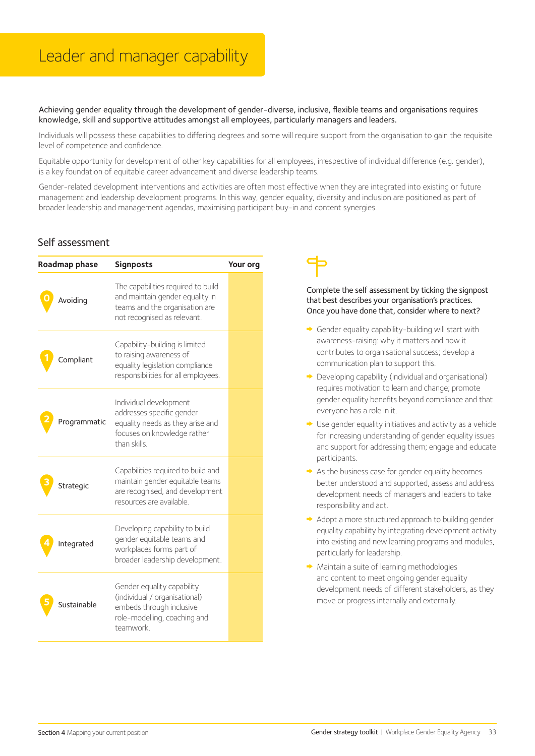Achieving gender equality through the development of gender-diverse, inclusive, flexible teams and organisations requires knowledge, skill and supportive attitudes amongst all employees, particularly managers and leaders.

Individuals will possess these capabilities to differing degrees and some will require support from the organisation to gain the requisite level of competence and confidence.

Equitable opportunity for development of other key capabilities for all employees, irrespective of individual difference (e.g. gender), is a key foundation of equitable career advancement and diverse leadership teams.

Gender-related development interventions and activities are often most effective when they are integrated into existing or future management and leadership development programs. In this way, gender equality, diversity and inclusion are positioned as part of broader leadership and management agendas, maximising participant buy-in and content synergies.

#### Self assessment

| Roadmap phase |              | <b>Signposts</b>                                                                                                                       | Your org |  |
|---------------|--------------|----------------------------------------------------------------------------------------------------------------------------------------|----------|--|
|               | Avoiding     | The capabilities required to build<br>and maintain gender equality in<br>teams and the organisation are<br>not recognised as relevant. |          |  |
|               | Compliant    | Capability-building is limited<br>to raising awareness of<br>equality legislation compliance<br>responsibilities for all employees.    |          |  |
|               | Programmatic | Individual development<br>addresses specific gender<br>equality needs as they arise and<br>focuses on knowledge rather<br>than skills  |          |  |
|               | Strategic    | Capabilities required to build and<br>maintain gender equitable teams<br>are recognised, and development<br>resources are available.   |          |  |
|               | Integrated   | Developing capability to build<br>gender equitable teams and<br>workplaces forms part of<br>broader leadership development.            |          |  |
|               | Sustainable  | Gender equality capability<br>(individual / organisational)<br>embeds through inclusive<br>role-modelling, coaching and<br>teamwork.   |          |  |



- Gender equality capability-building will start with awareness-raising: why it matters and how it contributes to organisational success; develop a communication plan to support this.
- $\rightarrow$  Developing capability (individual and organisational) requires motivation to learn and change; promote gender equality benefits beyond compliance and that everyone has a role in it.
- $\rightarrow$  Use gender equality initiatives and activity as a vehicle for increasing understanding of gender equality issues and support for addressing them; engage and educate participants.
- $\rightarrow$  As the business case for gender equality becomes better understood and supported, assess and address development needs of managers and leaders to take responsibility and act.
- Adopt a more structured approach to building gender equality capability by integrating development activity into existing and new learning programs and modules, particularly for leadership.
- $\rightarrow$  Maintain a suite of learning methodologies and content to meet ongoing gender equality development needs of different stakeholders, as they move or progress internally and externally.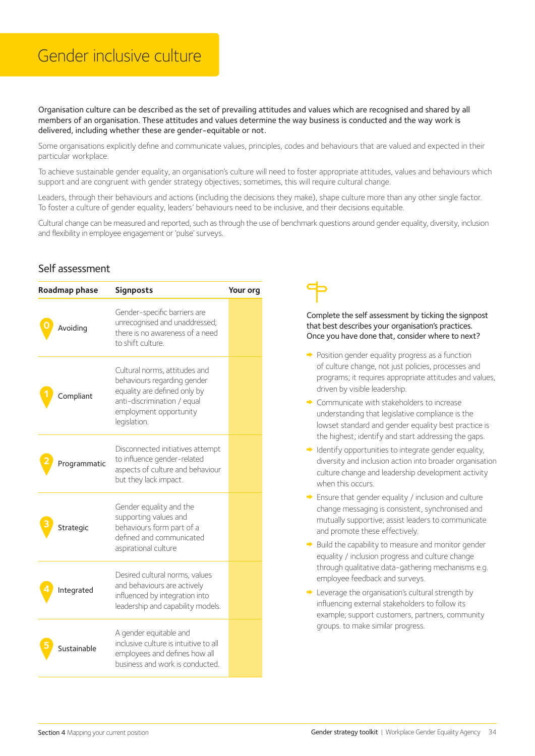## Gender inclusive culture

Organisation culture can be described as the set of prevailing attitudes and values which are recognised and shared by all members of an organisation. These attitudes and values determine the way business is conducted and the way work is delivered, including whether these are gender-equitable or not.

Some organisations explicitly define and communicate values, principles, codes and behaviours that are valued and expected in their particular workplace.

To achieve sustainable gender equality, an organisation's culture will need to foster appropriate attitudes, values and behaviours which support and are congruent with gender strategy objectives; sometimes, this will require cultural change.

Leaders, through their behaviours and actions (including the decisions they make), shape culture more than any other single factor. To foster a culture of gender equality, leaders' behaviours need to be inclusive, and their decisions equitable.

Cultural change can be measured and reported, such as through the use of benchmark questions around gender equality, diversity, inclusion and flexibility in employee engagement or 'pulse' surveys.

#### Self assessment

| Roadmap phase | <b>Signposts</b>                                                                                                                                                      | Your org |
|---------------|-----------------------------------------------------------------------------------------------------------------------------------------------------------------------|----------|
| Avoiding      | Gender-specific barriers are<br>unrecognised and unaddressed;<br>there is no awareness of a need<br>to shift culture.                                                 |          |
| compliant     | Cultural norms, attitudes and<br>behaviours regarding gender<br>equality are defined only by<br>anti-discrimination / equal<br>employment opportunity<br>legislation. |          |
| Programmatic  | Disconnected initiatives attempt<br>to influence gender-related<br>aspects of culture and behaviour<br>but they lack impact.                                          |          |
| Strategic     | Gender equality and the<br>supporting values and<br>behaviours form part of a<br>defined and communicated<br>aspirational culture                                     |          |
| Integrated    | Desired cultural norms, values<br>and behaviours are actively<br>influenced by integration into<br>leadership and capability models.                                  |          |
| Sustainable   | A gender equitable and<br>inclusive culture is intuitive to all<br>employees and defines how all<br>business and work is conducted.                                   |          |

- $\rightarrow$  Position gender equality progress as a function of culture change, not just policies, processes and programs; it requires appropriate attitudes and values, driven by visible leadership.
- Communicate with stakeholders to increase understanding that legislative compliance is the lowset standard and gender equality best practice is the highest; identify and start addressing the gaps.
- $\rightarrow$  Identify opportunities to integrate gender equality, diversity and inclusion action into broader organisation culture change and leadership development activity when this occurs.
- $\rightarrow$  Ensure that gender equality / inclusion and culture change messaging is consistent, synchronised and mutually supportive; assist leaders to communicate and promote these effectively.
- $\rightarrow$  Build the capability to measure and monitor gender equality / inclusion progress and culture change through qualitative data-gathering mechanisms e.g. employee feedback and surveys.
- **►** Leverage the organisation's cultural strength by influencing external stakeholders to follow its example; support customers, partners, community groups. to make similar progress.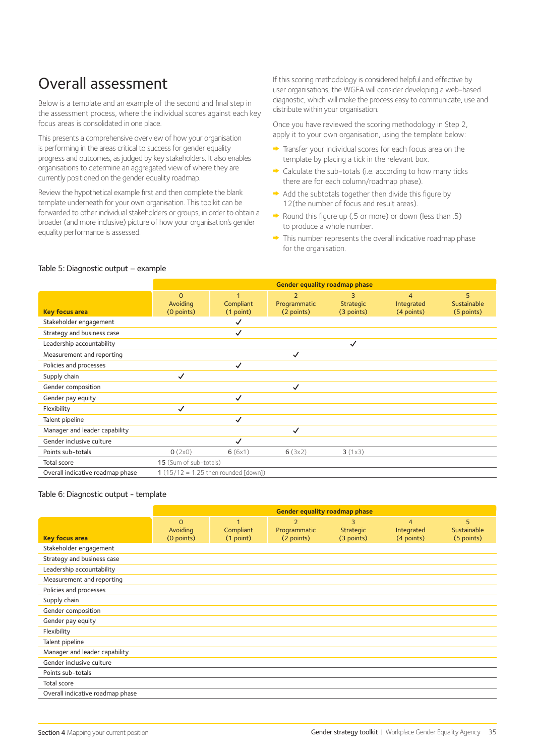## Overall assessment

Below is a template and an example of the second and final step in the assessment process, where the individual scores against each key focus areas is consolidated in one place.

This presents a comprehensive overview of how your organisation is performing in the areas critical to success for gender equality progress and outcomes, as judged by key stakeholders. It also enables organisations to determine an aggregated view of where they are currently positioned on the gender equality roadmap.

Review the hypothetical example first and then complete the blank template underneath for your own organisation. This toolkit can be forwarded to other individual stakeholders or groups, in order to obtain a broader (and more inclusive) picture of how your organisation's gender equality performance is assessed.

If this scoring methodology is considered helpful and effective by user organisations, the WGEA will consider developing a web-based diagnostic, which will make the process easy to communicate, use and distribute within your organisation.

Once you have reviewed the scoring methodology in Step 2, apply it to your own organisation, using the template below:

- Transfer your individual scores for each focus area on the template by placing a tick in the relevant box.
- $\rightarrow$  Calculate the sub-totals (i.e. according to how many ticks there are for each column/roadmap phase).
- $\rightarrow$  Add the subtotals together then divide this figure by 12(the number of focus and result areas).
- Round this figure up (.5 or more) or down (less than .5) to produce a whole number.
- $\rightarrow$  This number represents the overall indicative roadmap phase for the organisation.

|                                  | <b>Gender equality roadmap phase</b> |                                          |                                              |                                     |                                            |                                |
|----------------------------------|--------------------------------------|------------------------------------------|----------------------------------------------|-------------------------------------|--------------------------------------------|--------------------------------|
| <b>Key focus area</b>            | $\Omega$<br>Avoiding<br>(0 points)   | $\overline{1}$<br>Compliant<br>(1 point) | $\overline{2}$<br>Programmatic<br>(2 points) | 3<br><b>Strategic</b><br>(3 points) | $\overline{4}$<br>Integrated<br>(4 points) | 5<br>Sustainable<br>(5 points) |
| Stakeholder engagement           |                                      | ✓                                        |                                              |                                     |                                            |                                |
| Strategy and business case       |                                      | $\checkmark$                             |                                              |                                     |                                            |                                |
| Leadership accountability        |                                      |                                          |                                              | $\checkmark$                        |                                            |                                |
| Measurement and reporting        |                                      |                                          | $\checkmark$                                 |                                     |                                            |                                |
| Policies and processes           |                                      | $\checkmark$                             |                                              |                                     |                                            |                                |
| Supply chain                     | $\checkmark$                         |                                          |                                              |                                     |                                            |                                |
| Gender composition               |                                      |                                          | ✓                                            |                                     |                                            |                                |
| Gender pay equity                |                                      | ✓                                        |                                              |                                     |                                            |                                |
| Flexibility                      | ✓                                    |                                          |                                              |                                     |                                            |                                |
| Talent pipeline                  |                                      | $\checkmark$                             |                                              |                                     |                                            |                                |
| Manager and leader capability    |                                      |                                          | ✓                                            |                                     |                                            |                                |
| Gender inclusive culture         |                                      | ✓                                        |                                              |                                     |                                            |                                |
| Points sub-totals                | O(2x0)                               | 6(6x1)                                   | 6(3x2)                                       | 3(1x3)                              |                                            |                                |
| Total score                      | 15 (Sum of sub-totals)               |                                          |                                              |                                     |                                            |                                |
| Overall indicative roadmap phase |                                      | 1 $(15/12 = 1.25$ then rounded [down])   |                                              |                                     |                                            |                                |

#### Table 5: Diagnostic output – example

#### Table 6: Diagnostic output - template

|                                  | <b>Gender equality roadmap phase</b> |                             |                                              |                                     |                                            |                                |
|----------------------------------|--------------------------------------|-----------------------------|----------------------------------------------|-------------------------------------|--------------------------------------------|--------------------------------|
| <b>Key focus area</b>            | $\Omega$<br>Avoiding<br>(0 points)   | 1<br>Compliant<br>(1 point) | $\overline{2}$<br>Programmatic<br>(2 points) | 3<br><b>Strategic</b><br>(3 points) | $\overline{4}$<br>Integrated<br>(4 points) | 5<br>Sustainable<br>(5 points) |
| Stakeholder engagement           |                                      |                             |                                              |                                     |                                            |                                |
| Strategy and business case       |                                      |                             |                                              |                                     |                                            |                                |
| Leadership accountability        |                                      |                             |                                              |                                     |                                            |                                |
| Measurement and reporting        |                                      |                             |                                              |                                     |                                            |                                |
| Policies and processes           |                                      |                             |                                              |                                     |                                            |                                |
| Supply chain                     |                                      |                             |                                              |                                     |                                            |                                |
| Gender composition               |                                      |                             |                                              |                                     |                                            |                                |
| Gender pay equity                |                                      |                             |                                              |                                     |                                            |                                |
| Flexibility                      |                                      |                             |                                              |                                     |                                            |                                |
| Talent pipeline                  |                                      |                             |                                              |                                     |                                            |                                |
| Manager and leader capability    |                                      |                             |                                              |                                     |                                            |                                |
| Gender inclusive culture         |                                      |                             |                                              |                                     |                                            |                                |
| Points sub-totals                |                                      |                             |                                              |                                     |                                            |                                |
| Total score                      |                                      |                             |                                              |                                     |                                            |                                |
| Overall indicative roadmap phase |                                      |                             |                                              |                                     |                                            |                                |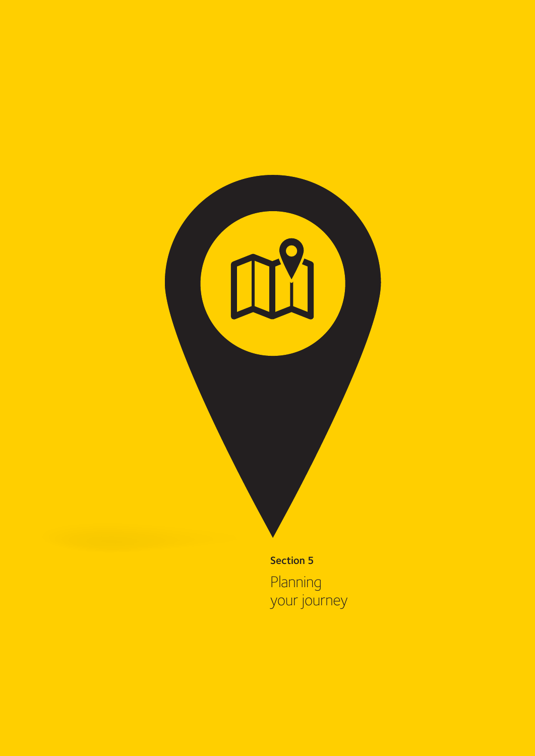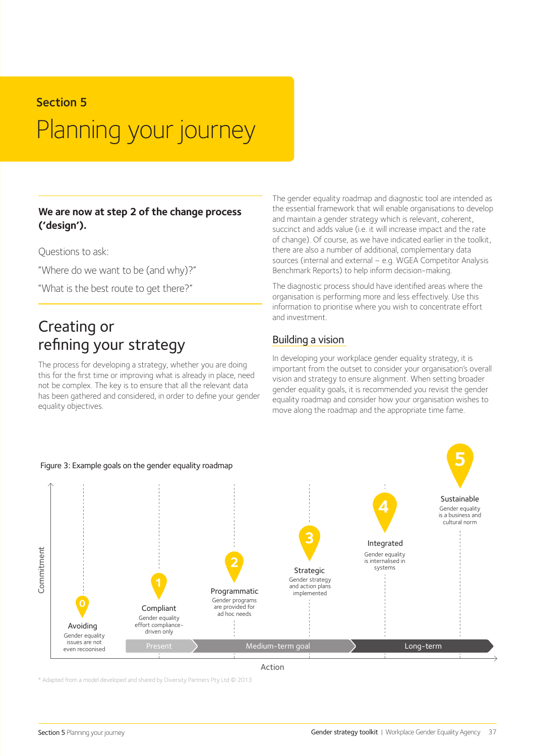## Section 5 Planning your journey

#### **We are now at step 2 of the change process ('design').**

Questions to ask:

"Where do we want to be (and why)?"

"What is the best route to get there?"

## Creating or refining your strategy

The process for developing a strategy, whether you are doing this for the first time or improving what is already in place, need not be complex. The key is to ensure that all the relevant data has been gathered and considered, in order to define your gender equality objectives.

#### The gender equality roadmap and diagnostic tool are intended as the essential framework that will enable organisations to develop and maintain a gender strategy which is relevant, coherent, succinct and adds value (i.e. it will increase impact and the rate of change). Of course, as we have indicated earlier in the toolkit, there are also a number of additional, complementary data sources (internal and external – e.g. WGEA Competitor Analysis Benchmark Reports) to help inform decision-making.

The diagnostic process should have identified areas where the organisation is performing more and less effectively. Use this information to prioritise where you wish to concentrate effort and investment.

#### Building a vision

In developing your workplace gender equality strategy, it is important from the outset to consider your organisation's overall vision and strategy to ensure alignment. When setting broader gender equality goals, it is recommended you revisit the gender equality roadmap and consider how your organisation wishes to move along the roadmap and the appropriate time fame.



\* Adapted from a model developed and shared by Diversity Partners Pty Ltd © 2013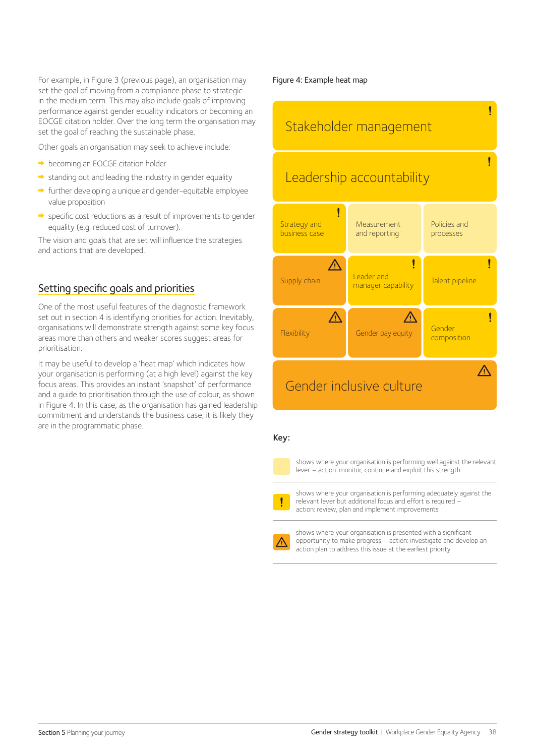For example, in Figure 3 (previous page), an organisation may set the goal of moving from a compliance phase to strategic in the medium term. This may also include goals of improving performance against gender equality indicators or becoming an EOCGE citation holder. Over the long term the organisation may set the goal of reaching the sustainable phase.

Other goals an organisation may seek to achieve include:

- $\rightarrow$  becoming an EOCGE citation holder
- $\rightarrow$  standing out and leading the industry in gender equality
- $\rightarrow$  further developing a unique and gender-equitable employee value proposition
- specific cost reductions as a result of improvements to gender equality (e.g. reduced cost of turnover).

The vision and goals that are set will influence the strategies and actions that are developed.

#### Setting specific goals and priorities

One of the most useful features of the diagnostic framework set out in section 4 is identifying priorities for action. Inevitably, organisations will demonstrate strength against some key focus areas more than others and weaker scores suggest areas for prioritisation.

It may be useful to develop a 'heat map' which indicates how your organisation is performing (at a high level) against the key focus areas. This provides an instant 'snapshot' of performance and a guide to prioritisation through the use of colour, as shown in Figure 4. In this case, as the organisation has gained leadership commitment and understands the business case, it is likely they are in the programmatic phase.

#### Figure 4: Example heat map



#### Key:

shows where your organisation is performing well against the relevant lever – action: monitor, continue and exploit this strength

shows where your organisation is performing adequately against the relevant lever but additional focus and effort is required – action: review, plan and implement improvements

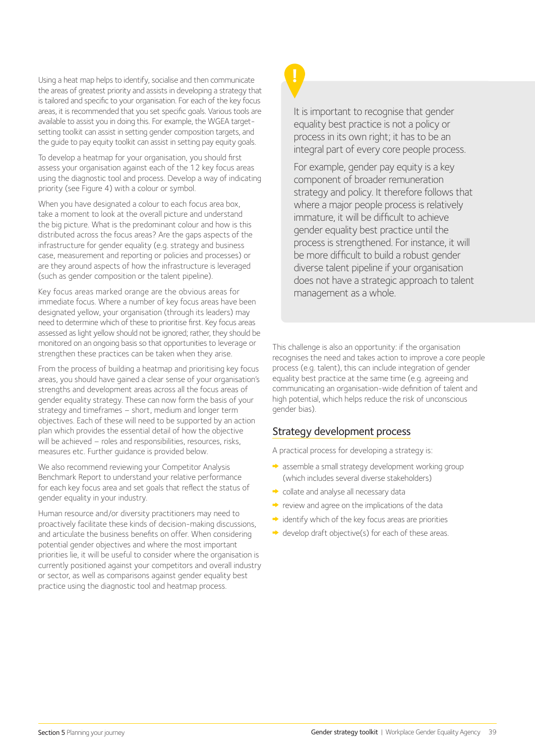Using a heat map helps to identify, socialise and then communicate the areas of greatest priority and assists in developing a strategy that is tailored and specific to your organisation. For each of the key focus areas, it is recommended that you set specific goals. Various tools are available to assist you in doing this. For example, the WGEA targetsetting toolkit can assist in setting gender composition targets, and the guide to pay equity toolkit can assist in setting pay equity goals.

To develop a heatmap for your organisation, you should first assess your organisation against each of the 12 key focus areas using the diagnostic tool and process. Develop a way of indicating priority (see Figure 4) with a colour or symbol.

When you have designated a colour to each focus area box, take a moment to look at the overall picture and understand the big picture. What is the predominant colour and how is this distributed across the focus areas? Are the gaps aspects of the infrastructure for gender equality (e.g. strategy and business case, measurement and reporting or policies and processes) or are they around aspects of how the infrastructure is leveraged (such as gender composition or the talent pipeline).

Key focus areas marked orange are the obvious areas for immediate focus. Where a number of key focus areas have been designated yellow, your organisation (through its leaders) may need to determine which of these to prioritise first. Key focus areas assessed as light yellow should not be ignored; rather, they should be monitored on an ongoing basis so that opportunities to leverage or strengthen these practices can be taken when they arise.

From the process of building a heatmap and prioritising key focus areas, you should have gained a clear sense of your organisation's strengths and development areas across all the focus areas of gender equality strategy. These can now form the basis of your strategy and timeframes – short, medium and longer term objectives. Each of these will need to be supported by an action plan which provides the essential detail of how the objective will be achieved – roles and responsibilities, resources, risks, measures etc. Further guidance is provided below.

We also recommend reviewing your Competitor Analysis Benchmark Report to understand your relative performance for each key focus area and set goals that reflect the status of gender equality in your industry.

Human resource and/or diversity practitioners may need to proactively facilitate these kinds of decision-making discussions, and articulate the business benefits on offer. When considering potential gender objectives and where the most important priorities lie, it will be useful to consider where the organisation is currently positioned against your competitors and overall industry or sector, as well as comparisons against gender equality best practice using the diagnostic tool and heatmap process.

It is important to recognise that gender equality best practice is not a policy or process in its own right; it has to be an integral part of every core people process.

For example, gender pay equity is a key component of broader remuneration strategy and policy. It therefore follows that where a major people process is relatively immature, it will be difficult to achieve gender equality best practice until the process is strengthened. For instance, it will be more difficult to build a robust gender diverse talent pipeline if your organisation does not have a strategic approach to talent management as a whole.

This challenge is also an opportunity: if the organisation recognises the need and takes action to improve a core people process (e.g. talent), this can include integration of gender equality best practice at the same time (e.g. agreeing and communicating an organisation-wide definition of talent and high potential, which helps reduce the risk of unconscious gender bias).

#### Strategy development process

A practical process for developing a strategy is:

- assemble a small strategy development working group (which includes several diverse stakeholders)
- collate and analyse all necessary data
- $\rightarrow$  review and agree on the implications of the data
- $\rightarrow$  identify which of the key focus areas are priorities
- $\rightarrow$  develop draft objective(s) for each of these areas.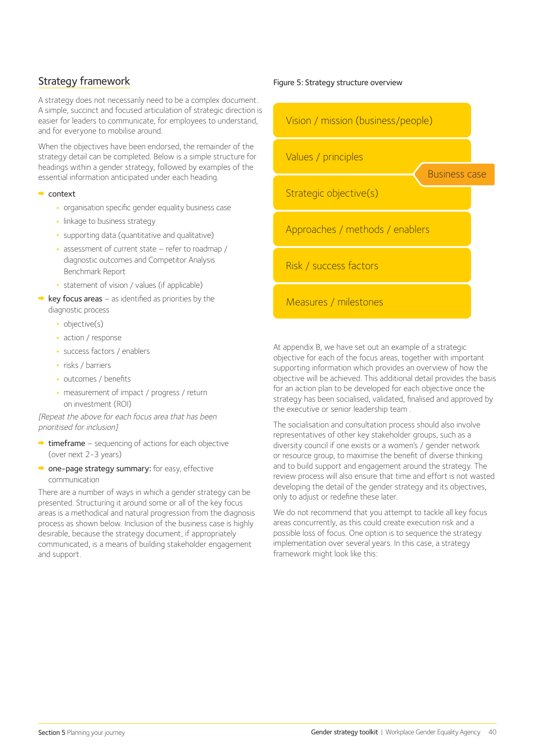#### Strategy framework

A strategy does not necessarily need to be a complex document. A simple, succinct and focused articulation of strategic direction is easier for leaders to communicate, for employees to understand, and for everyone to mobilise around.

When the objectives have been endorsed, the remainder of the strategy detail can be completed. Below is a simple structure for headings within a gender strategy, followed by examples of the essential information anticipated under each heading.

#### **→** context

- **•** organisation specific gender equality business case
- **•** linkage to business strategy
- **•** supporting data (quantitative and qualitative)
- **•** assessment of current state refer to roadmap / diagnostic outcomes and Competitor Analysis Benchmark Report
- **•** statement of vision / values (if applicable)
- $\rightarrow$  key focus areas as identified as priorities by the diagnostic process
	- **•** objective(s)
	- **•** action / response
	- **•** success factors / enablers
	- **•** risks / barriers
	- **•** outcomes / benefits
	- **•** measurement of impact / progress / return on investment (ROI)

[Repeat the above for each focus area that has been prioritised for inclusion]

- $\rightarrow$  timeframe sequencing of actions for each objective (over next 2-3 years)
- one-page strategy summary: for easy, effective communication

There are a number of ways in which a gender strategy can be presented. Structuring it around some or all of the key focus areas is a methodical and natural progression from the diagnosis process as shown below. Inclusion of the business case is highly desirable, because the strategy document, if appropriately communicated, is a means of building stakeholder engagement and support.

#### Figure 5: Strategy structure overview



At appendix B, we have set out an example of a strategic objective for each of the focus areas, together with important supporting information which provides an overview of how the objective will be achieved. This additional detail provides the basis for an action plan to be developed for each objective once the strategy has been socialised, validated, finalised and approved by the executive or senior leadership team .

The socialisation and consultation process should also involve representatives of other key stakeholder groups, such as a diversity council if one exists or a women's / gender network or resource group, to maximise the benefit of diverse thinking and to build support and engagement around the strategy. The review process will also ensure that time and effort is not wasted developing the detail of the gender strategy and its objectives, only to adjust or redefine these later.

We do not recommend that you attempt to tackle all key focus areas concurrently, as this could create execution risk and a possible loss of focus. One option is to sequence the strategy implementation over several years. In this case, a strategy framework might look like this: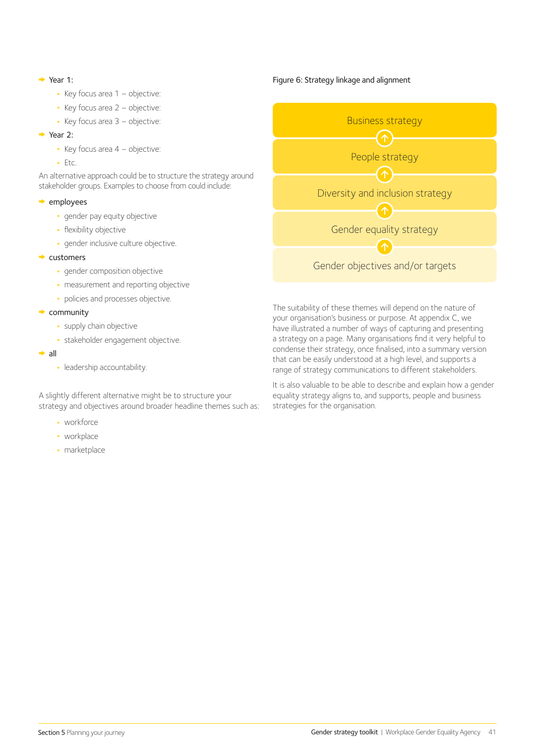#### $\rightarrow$  Year 1:

- **•** Key focus area 1 objective:
- **•** Key focus area 2 objective:
- **•** Key focus area 3 objective:

#### $\rightarrow$  Year 2:

- **•** Key focus area 4 objective:
- **•** Etc.

An alternative approach could be to structure the strategy around stakeholder groups. Examples to choose from could include:

#### $\rightarrow$  employees

- **•** gender pay equity objective
- **•** flexibility objective
- **•** gender inclusive culture objective.

#### $\rightarrow$  customers

- **•** gender composition objective
- **•** measurement and reporting objective
- **•** policies and processes objective.

#### $\rightarrow$  community

- **•** supply chain objective
- **•** stakeholder engagement objective.
- $\rightarrow$  all
	- **•** leadership accountability.

A slightly different alternative might be to structure your strategy and objectives around broader headline themes such as:

- **•** workforce
- **•** workplace
- **•** marketplace

#### Figure 6: Strategy linkage and alignment



The suitability of these themes will depend on the nature of your organisation's business or purpose. At appendix C, we have illustrated a number of ways of capturing and presenting a strategy on a page. Many organisations find it very helpful to condense their strategy, once finalised, into a summary version that can be easily understood at a high level, and supports a range of strategy communications to different stakeholders.

It is also valuable to be able to describe and explain how a gender equality strategy aligns to, and supports, people and business strategies for the organisation.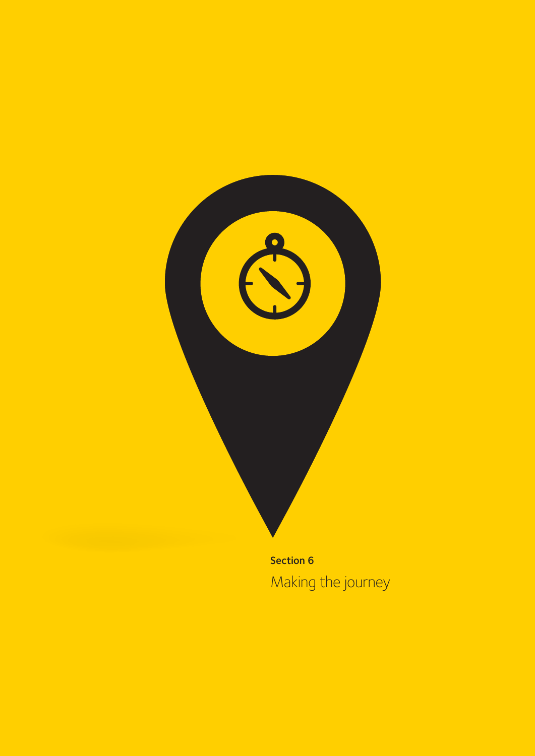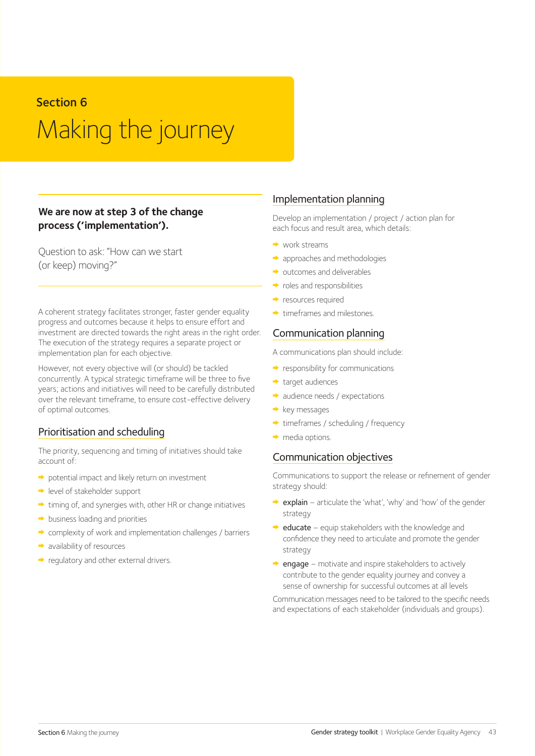## Section 6 Making the journey

#### **We are now at step 3 of the change process ('implementation').**

Question to ask: "How can we start (or keep) moving?"

A coherent strategy facilitates stronger, faster gender equality progress and outcomes because it helps to ensure effort and investment are directed towards the right areas in the right order. The execution of the strategy requires a separate project or implementation plan for each objective.

However, not every objective will (or should) be tackled concurrently. A typical strategic timeframe will be three to five years; actions and initiatives will need to be carefully distributed over the relevant timeframe, to ensure cost-effective delivery of optimal outcomes.

#### Prioritisation and scheduling

The priority, sequencing and timing of initiatives should take account of:

- potential impact and likely return on investment
- level of stakeholder support
- $\rightarrow$  timing of, and synergies with, other HR or change initiatives
- $\rightarrow$  business loading and priorities
- complexity of work and implementation challenges / barriers
- availability of resources
- regulatory and other external drivers.

#### Implementation planning

Develop an implementation / project / action plan for each focus and result area, which details:

- $\rightarrow$  work streams
- approaches and methodologies
- outcomes and deliverables
- $\rightarrow$  roles and responsibilities
- **The resources required**
- $\rightarrow$  timeframes and milestones.

#### Communication planning

A communications plan should include:

- $\rightarrow$  responsibility for communications
- target audiences
- audience needs / expectations
- $\rightarrow$  key messages
- $\rightarrow$  timeframes / scheduling / frequency
- $\rightarrow$  media options.

#### Communication objectives

Communications to support the release or refinement of gender strategy should:

- $\rightarrow$  explain articulate the 'what', 'why' and 'how' of the gender strategy
- $\rightarrow$  educate equip stakeholders with the knowledge and confidence they need to articulate and promote the gender strategy
- $\rightarrow$  engage motivate and inspire stakeholders to actively contribute to the gender equality journey and convey a sense of ownership for successful outcomes at all levels

Communication messages need to be tailored to the specific needs and expectations of each stakeholder (individuals and groups).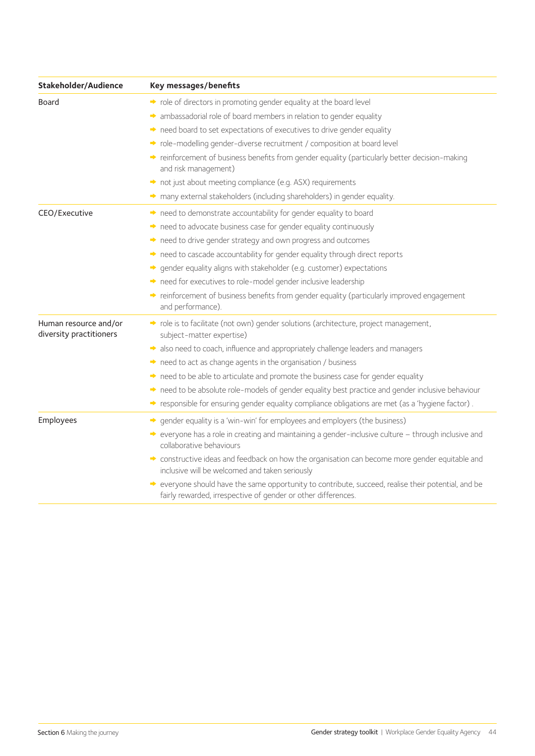| Stakeholder/Audience                             | Key messages/benefits                                                                                                                                                |
|--------------------------------------------------|----------------------------------------------------------------------------------------------------------------------------------------------------------------------|
| Board                                            | • role of directors in promoting gender equality at the board level                                                                                                  |
|                                                  | A ambassadorial role of board members in relation to gender equality                                                                                                 |
|                                                  | need board to set expectations of executives to drive gender equality                                                                                                |
|                                                  | → role-modelling gender-diverse recruitment / composition at board level                                                                                             |
|                                                  | reinforcement of business benefits from gender equality (particularly better decision-making<br>and risk management)                                                 |
|                                                  | not just about meeting compliance (e.g. ASX) requirements                                                                                                            |
|                                                  | many external stakeholders (including shareholders) in gender equality.                                                                                              |
| CEO/Executive                                    | • need to demonstrate accountability for gender equality to board                                                                                                    |
|                                                  | • need to advocate business case for gender equality continuously                                                                                                    |
|                                                  | • need to drive gender strategy and own progress and outcomes                                                                                                        |
|                                                  | • need to cascade accountability for gender equality through direct reports                                                                                          |
|                                                  | → gender equality aligns with stakeholder (e.g. customer) expectations                                                                                               |
|                                                  | • need for executives to role-model gender inclusive leadership                                                                                                      |
|                                                  | reinforcement of business benefits from gender equality (particularly improved engagement<br>and performance).                                                       |
| Human resource and/or<br>diversity practitioners | → role is to facilitate (not own) gender solutions (architecture, project management,<br>subject-matter expertise)                                                   |
|                                                  | also need to coach, influence and appropriately challenge leaders and managers                                                                                       |
|                                                  | • need to act as change agents in the organisation / business                                                                                                        |
|                                                  | • need to be able to articulate and promote the business case for gender equality                                                                                    |
|                                                  | need to be absolute role-models of gender equality best practice and gender inclusive behaviour                                                                      |
|                                                  | → responsible for ensuring gender equality compliance obligations are met (as a 'hygiene factor).                                                                    |
| Employees                                        | → gender equality is a 'win-win' for employees and employers (the business)                                                                                          |
|                                                  | → everyone has a role in creating and maintaining a gender-inclusive culture – through inclusive and<br>collaborative behaviours                                     |
|                                                  | constructive ideas and feedback on how the organisation can become more gender equitable and<br>inclusive will be welcomed and taken seriously                       |
|                                                  | → everyone should have the same opportunity to contribute, succeed, realise their potential, and be<br>fairly rewarded, irrespective of gender or other differences. |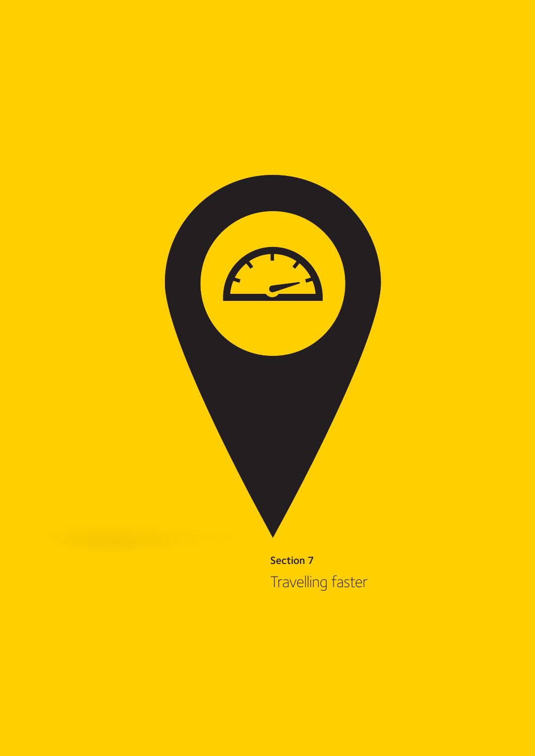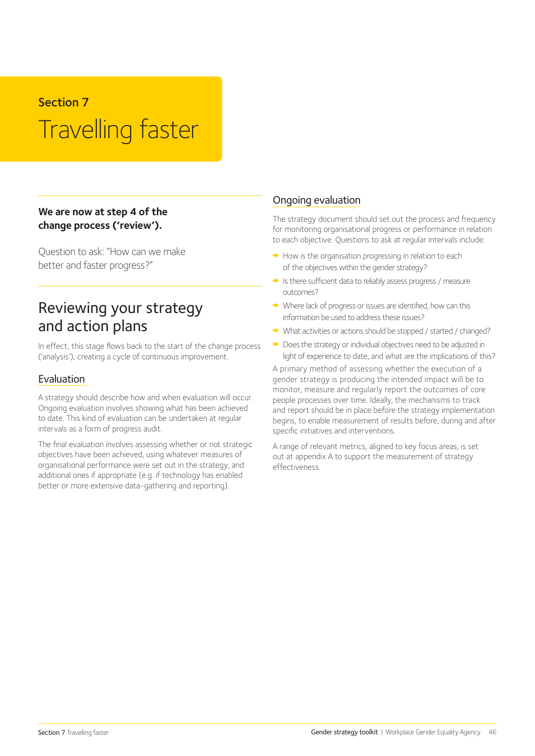#### Section 7

## Travelling faster

#### **We are now at step 4 of the change process ('review').**

Question to ask: "How can we make better and faster progress?"

## Reviewing your strategy and action plans

In effect, this stage flows back to the start of the change process ('analysis'), creating a cycle of continuous improvement.

#### Evaluation

A strategy should describe how and when evaluation will occur. Ongoing evaluation involves showing what has been achieved to date. This kind of evaluation can be undertaken at regular intervals as a form of progress audit.

The final evaluation involves assessing whether or not strategic objectives have been achieved, using whatever measures of organisational performance were set out in the strategy, and additional ones if appropriate (e.g. if technology has enabled better or more extensive data-gathering and reporting).

#### Ongoing evaluation

The strategy document should set out the process and frequency for monitoring organisational progress or performance in relation to each objective. Questions to ask at regular intervals include:

- $\rightarrow$  How is the organisation progressing in relation to each of the objectives within the gender strategy?
- Is there sufficient data to reliably assess progress / measure outcomes?
- Where lack of progress or issues are identified, how can this information be used to address these issues?
- What activities or actions should be stopped / started / changed?
- $\rightarrow$  Does the strategy or individual objectives need to be adjusted in light of experience to date, and what are the implications of this?

A primary method of assessing whether the execution of a gender strategy is producing the intended impact will be to monitor, measure and regularly report the outcomes of core people processes over time. Ideally, the mechanisms to track and report should be in place before the strategy implementation begins, to enable measurement of results before, during and after specific initiatives and interventions.

A range of relevant metrics, aligned to key focus areas, is set out at appendix A to support the measurement of strategy effectiveness.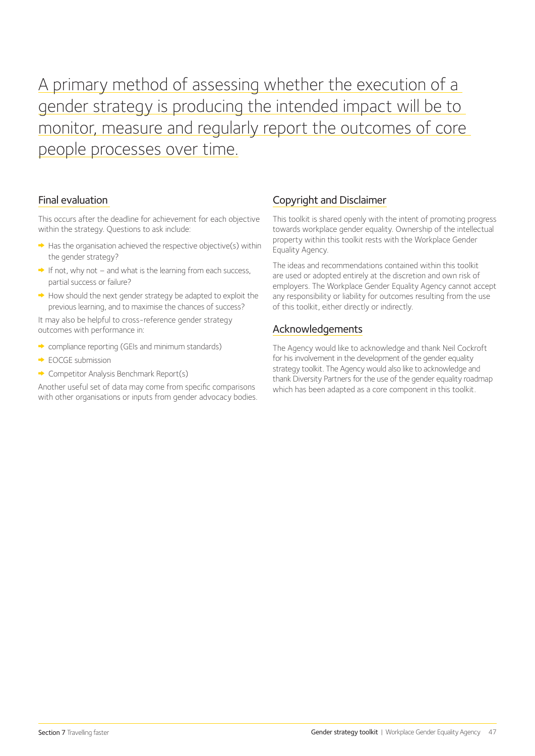A primary method of assessing whether the execution of a gender strategy is producing the intended impact will be to monitor, measure and regularly report the outcomes of core people processes over time.

#### Final evaluation

This occurs after the deadline for achievement for each objective within the strategy. Questions to ask include:

- $\rightarrow$  Has the organisation achieved the respective objective(s) within the gender strategy?
- $\rightarrow$  If not, why not and what is the learning from each success, partial success or failure?
- $\rightarrow$  How should the next gender strategy be adapted to exploit the previous learning, and to maximise the chances of success?

It may also be helpful to cross-reference gender strategy outcomes with performance in:

- compliance reporting (GEIs and minimum standards)
- $\rightarrow$  EOCGE submission
- **← Competitor Analysis Benchmark Report(s)**

Another useful set of data may come from specific comparisons with other organisations or inputs from gender advocacy bodies.

#### Copyright and Disclaimer

This toolkit is shared openly with the intent of promoting progress towards workplace gender equality. Ownership of the intellectual property within this toolkit rests with the Workplace Gender Equality Agency.

The ideas and recommendations contained within this toolkit are used or adopted entirely at the discretion and own risk of employers. The Workplace Gender Equality Agency cannot accept any responsibility or liability for outcomes resulting from the use of this toolkit, either directly or indirectly.

#### Acknowledgements

The Agency would like to acknowledge and thank Neil Cockroft for his involvement in the development of the gender equality strategy toolkit. The Agency would also like to acknowledge and thank Diversity Partners for the use of the gender equality roadmap which has been adapted as a core component in this toolkit.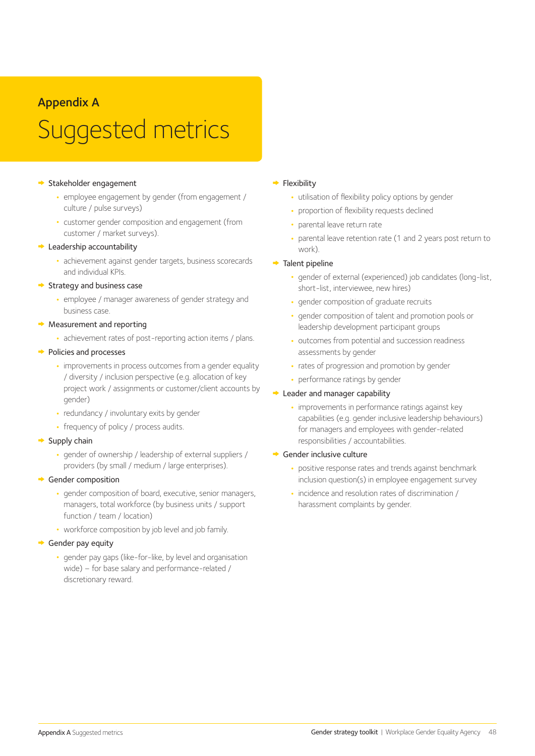### Appendix A

## Suggested metrics

#### Stakeholder engagement

- **•** employee engagement by gender (from engagement / culture / pulse surveys)
- **•** customer gender composition and engagement (from customer / market surveys).

#### **►** Leadership accountability

**•** achievement against gender targets, business scorecards and individual KPIs.

#### $\rightarrow$  Strategy and business case

**•** employee / manager awareness of gender strategy and business case.

#### $\rightarrow$  Measurement and reporting

**•** achievement rates of post-reporting action items / plans.

#### $\rightarrow$  Policies and processes

- **•** improvements in process outcomes from a gender equality / diversity / inclusion perspective (e.g. allocation of key project work / assignments or customer/client accounts by gender)
- **•** redundancy / involuntary exits by gender
- **•** frequency of policy / process audits.

#### $\rightarrow$  Supply chain

**•** gender of ownership / leadership of external suppliers / providers (by small / medium / large enterprises).

#### Gender composition

- **•** gender composition of board, executive, senior managers, managers, total workforce (by business units / support function / team / location)
- **•** workforce composition by job level and job family.

#### Gender pay equity

**•** gender pay gaps (like-for-like, by level and organisation wide) – for base salary and performance-related / discretionary reward.

#### $\rightarrow$  Flexibility

- **•** utilisation of flexibility policy options by gender
- **•** proportion of flexibility requests declined
- **•** parental leave return rate
- **•** parental leave retention rate (1 and 2 years post return to work).

#### $\rightarrow$  Talent pipeline

- **•** gender of external (experienced) job candidates (long-list, short-list, interviewee, new hires)
- **•** gender composition of graduate recruits
- **•** gender composition of talent and promotion pools or leadership development participant groups
- **•** outcomes from potential and succession readiness assessments by gender
- **•** rates of progression and promotion by gender
- **•** performance ratings by gender

#### **► Leader and manager capability**

**•** improvements in performance ratings against key capabilities (e.g. gender inclusive leadership behaviours) for managers and employees with gender-related responsibilities / accountabilities.

#### Gender inclusive culture

- **•** positive response rates and trends against benchmark inclusion question(s) in employee engagement survey
- **•** incidence and resolution rates of discrimination / harassment complaints by gender.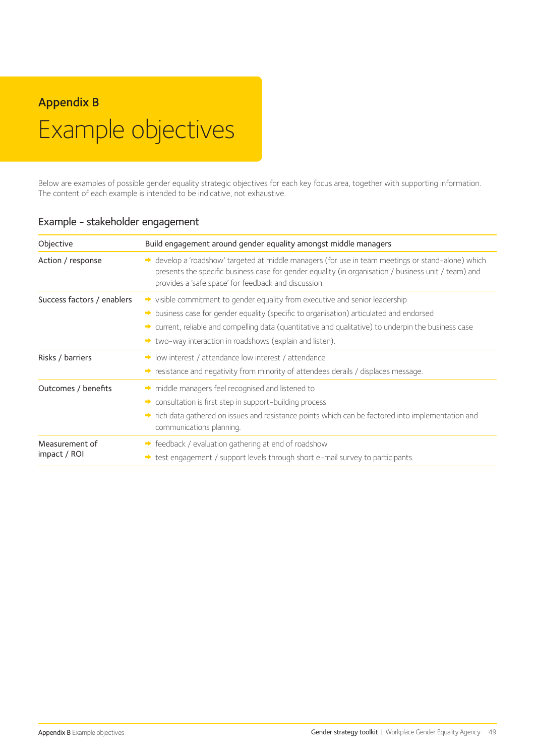## Appendix B Example objectives

Below are examples of possible gender equality strategic objectives for each key focus area, together with supporting information. The content of each example is intended to be indicative, not exhaustive.

| Objective                      | Build engagement around gender equality amongst middle managers                                                                                                                                                                                                                                                                                   |
|--------------------------------|---------------------------------------------------------------------------------------------------------------------------------------------------------------------------------------------------------------------------------------------------------------------------------------------------------------------------------------------------|
| Action / response              | → develop a 'roadshow' targeted at middle managers (for use in team meetings or stand-alone) which<br>presents the specific business case for gender equality (in organisation / business unit / team) and<br>provides a 'safe space' for feedback and discussion.                                                                                |
| Success factors / enablers     | ighthrow visible commitment to gender equality from executive and senior leadership<br>business case for gender equality (specific to organisation) articulated and endorsed<br>• current, reliable and compelling data (quantitative and qualitative) to underpin the business case<br>If two-way interaction in roadshows (explain and listen). |
| Risks / barriers               | I low interest / attendance low interest / attendance<br>Stresstance and negativity from minority of attendees derails / displaces message.                                                                                                                                                                                                       |
| Outcomes / benefits            | middle managers feel recognised and listened to<br>consultation is first step in support-building process<br>in the factor of factor of the factor of the factor of the factor of the factored into implementation and<br>communications planning.                                                                                                |
| Measurement of<br>impact / ROI | $\rightarrow$ feedback / evaluation gathering at end of roadshow<br>test engagement / support levels through short e-mail survey to participants.                                                                                                                                                                                                 |

#### Example - stakeholder engagement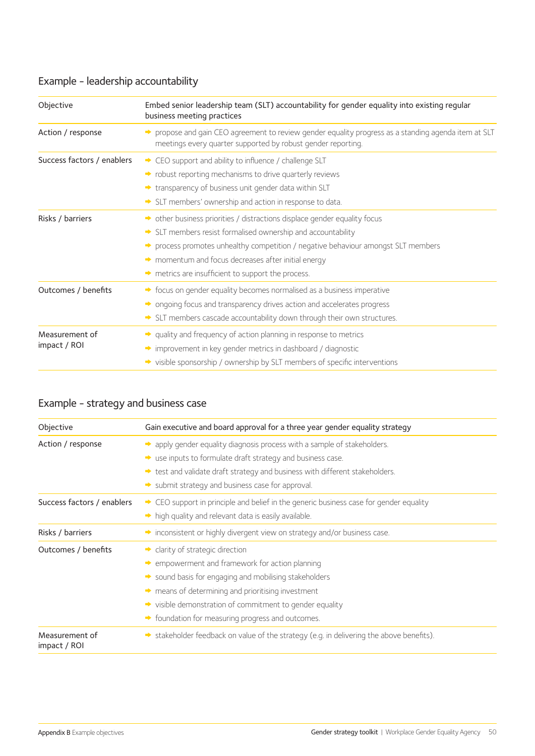## Example - leadership accountability

| Objective                      | Embed senior leadership team (SLT) accountability for gender equality into existing regular<br>business meeting practices                                                                                                                                                                                                                           |
|--------------------------------|-----------------------------------------------------------------------------------------------------------------------------------------------------------------------------------------------------------------------------------------------------------------------------------------------------------------------------------------------------|
| Action / response              | → propose and gain CEO agreement to review gender equality progress as a standing agenda item at SLT<br>meetings every quarter supported by robust gender reporting.                                                                                                                                                                                |
| Success factors / enablers     | → CEO support and ability to influence / challenge SLT<br>• robust reporting mechanisms to drive quarterly reviews<br>In transparency of business unit gender data within SLT<br>SLT members' ownership and action in response to data.                                                                                                             |
| Risks / barriers               | → other business priorities / distractions displace gender equality focus<br>SLT members resist formalised ownership and accountability<br>→ process promotes unhealthy competition / negative behaviour amongst SLT members<br>momentum and focus decreases after initial energy<br>$\rightarrow$ metrics are insufficient to support the process. |
| Outcomes / benefits            | → focus on gender equality becomes normalised as a business imperative<br>• ongoing focus and transparency drives action and accelerates progress<br>SLT members cascade accountability down through their own structures.                                                                                                                          |
| Measurement of<br>impact / ROI | • quality and frequency of action planning in response to metrics<br>improvement in key gender metrics in dashboard / diagnostic<br>→ visible sponsorship / ownership by SLT members of specific interventions                                                                                                                                      |

## Example - strategy and business case

| Objective                      | Gain executive and board approval for a three year gender equality strategy                                                                                                                                                                                                                                                            |
|--------------------------------|----------------------------------------------------------------------------------------------------------------------------------------------------------------------------------------------------------------------------------------------------------------------------------------------------------------------------------------|
| Action / response              | A apply gender equality diagnosis process with a sample of stakeholders.<br>$\rightarrow$ use inputs to formulate draft strategy and business case.<br>test and validate draft strategy and business with different stakeholders.<br>$\rightarrow$ submit strategy and business case for approval.                                     |
| Success factors / enablers     | → CEO support in principle and belief in the generic business case for gender equality<br>high quality and relevant data is easily available.                                                                                                                                                                                          |
| Risks / barriers               | inconsistent or highly divergent view on strategy and/or business case.                                                                                                                                                                                                                                                                |
| Outcomes / benefits            | • clarity of strategic direction<br>• empowerment and framework for action planning<br>Sound basis for engaging and mobilising stakeholders<br>$\rightarrow$ means of determining and prioritising investment<br>ighthrought visible demonstration of commitment to gender equality<br>Soundation for measuring progress and outcomes. |
| Measurement of<br>impact / ROI | $\rightarrow$ stakeholder feedback on value of the strategy (e.g. in delivering the above benefits).                                                                                                                                                                                                                                   |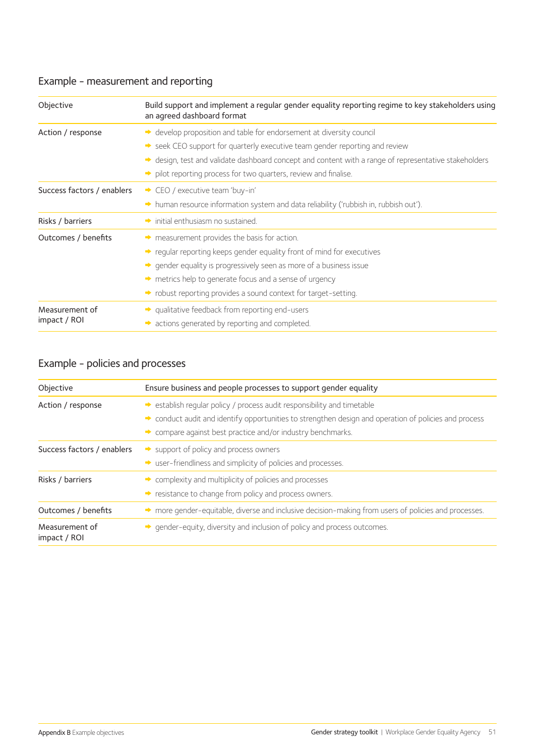### Example - measurement and reporting

| Objective                  | Build support and implement a regular gender equality reporting regime to key stakeholders using<br>an agreed dashboard format |
|----------------------------|--------------------------------------------------------------------------------------------------------------------------------|
| Action / response          | → develop proposition and table for endorsement at diversity council                                                           |
|                            | Seek CEO support for quarterly executive team gender reporting and review                                                      |
|                            | → design, test and validate dashboard concept and content with a range of representative stakeholders                          |
|                            | pilot reporting process for two quarters, review and finalise.                                                                 |
| Success factors / enablers | CEO / executive team 'buy-in'                                                                                                  |
|                            | A human resource information system and data reliability ('rubbish in, rubbish out').                                          |
| Risks / barriers           | $\rightarrow$ initial enthusiasm no sustained.                                                                                 |
| Outcomes / benefits        | $\rightarrow$ measurement provides the basis for action.                                                                       |
|                            | ighthrought reporting keeps gender equality front of mind for executives                                                       |
|                            | • gender equality is progressively seen as more of a business issue                                                            |
|                            | metrics help to generate focus and a sense of urgency                                                                          |
|                            | ighthoror provides a sound context for target-setting.                                                                         |
| Measurement of             | → qualitative feedback from reporting end-users                                                                                |
| impact / ROI               | actions generated by reporting and completed.                                                                                  |

## Example - policies and processes

| Objective                      | Ensure business and people processes to support gender equality                                       |  |  |
|--------------------------------|-------------------------------------------------------------------------------------------------------|--|--|
| Action / response              | Sestablish reqular policy / process audit responsibility and timetable                                |  |  |
|                                | → conduct audit and identify opportunities to strengthen design and operation of policies and process |  |  |
|                                | $\rightarrow$ compare against best practice and/or industry benchmarks.                               |  |  |
| Success factors / enablers     | $\rightarrow$ support of policy and process owners                                                    |  |  |
|                                | State user-friendliness and simplicity of policies and processes.                                     |  |  |
| Risks / barriers               | $\rightarrow$ complexity and multiplicity of policies and processes                                   |  |  |
|                                | resistance to change from policy and process owners.                                                  |  |  |
| Outcomes / benefits            | → more gender-equitable, diverse and inclusive decision-making from users of policies and processes.  |  |  |
| Measurement of<br>impact / ROI | → gender-equity, diversity and inclusion of policy and process outcomes.                              |  |  |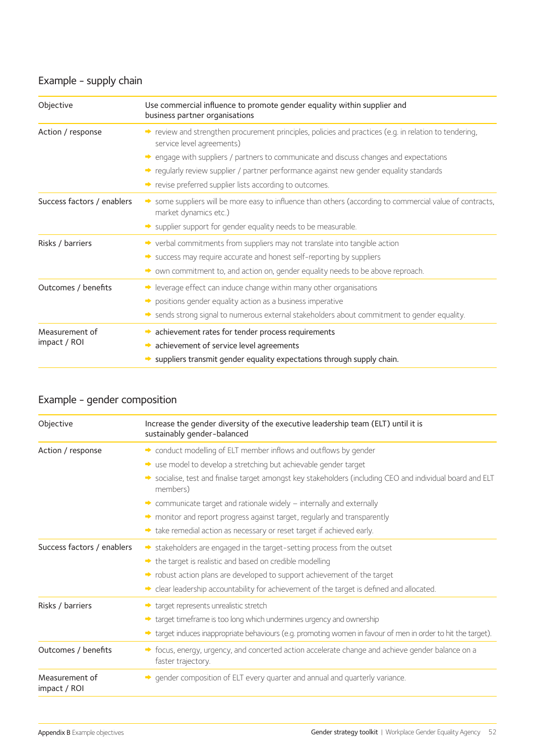### Example - supply chain

| Use commercial influence to promote gender equality within supplier and<br>business partner organisations                         |
|-----------------------------------------------------------------------------------------------------------------------------------|
| review and strengthen procurement principles, policies and practices (e.g. in relation to tendering,<br>service level agreements) |
| $\rightarrow$ engage with suppliers / partners to communicate and discuss changes and expectations                                |
| → regularly review supplier / partner performance against new gender equality standards                                           |
| revise preferred supplier lists according to outcomes.                                                                            |
| Some suppliers will be more easy to influence than others (according to commercial value of contracts,<br>market dynamics etc.)   |
| Supplier support for gender equality needs to be measurable.                                                                      |
| → verbal commitments from suppliers may not translate into tangible action                                                        |
| Success may require accurate and honest self-reporting by suppliers                                                               |
| • own commitment to, and action on, gender equality needs to be above reproach.                                                   |
| $\rightarrow$ leverage effect can induce change within many other organisations                                                   |
| positions gender equality action as a business imperative                                                                         |
| Sends strong signal to numerous external stakeholders about commitment to gender equality.                                        |
| $\rightarrow$ achievement rates for tender process requirements                                                                   |
| achievement of service level agreements                                                                                           |
| suppliers transmit gender equality expectations through supply chain.                                                             |
|                                                                                                                                   |

### Example - gender composition

| Objective                      | Increase the gender diversity of the executive leadership team (ELT) until it is<br>sustainably gender-balanced        |
|--------------------------------|------------------------------------------------------------------------------------------------------------------------|
| Action / response              | → conduct modelling of ELT member inflows and outflows by gender                                                       |
|                                | So use model to develop a stretching but achievable gender target                                                      |
|                                | Socialise, test and finalise target amongst key stakeholders (including CEO and individual board and ELT<br>members)   |
|                                | $\rightarrow$ communicate target and rationale widely – internally and externally                                      |
|                                | monitor and report progress against target, regularly and transparently                                                |
|                                | take remedial action as necessary or reset target if achieved early.                                                   |
| Success factors / enablers     | Stakeholders are engaged in the target-setting process from the outset                                                 |
|                                | $\rightarrow$ the target is realistic and based on credible modelling                                                  |
|                                | ighthrow robust action plans are developed to support achievement of the target                                        |
|                                | • clear leadership accountability for achievement of the target is defined and allocated.                              |
| Risks / barriers               | target represents unrealistic stretch                                                                                  |
|                                | → target timeframe is too long which undermines urgency and ownership                                                  |
|                                | In target induces inappropriate behaviours (e.g. promoting women in favour of men in order to hit the target).         |
| Outcomes / benefits            | → focus, energy, urgency, and concerted action accelerate change and achieve gender balance on a<br>faster trajectory. |
| Measurement of<br>impact / ROI | → gender composition of ELT every quarter and annual and quarterly variance.                                           |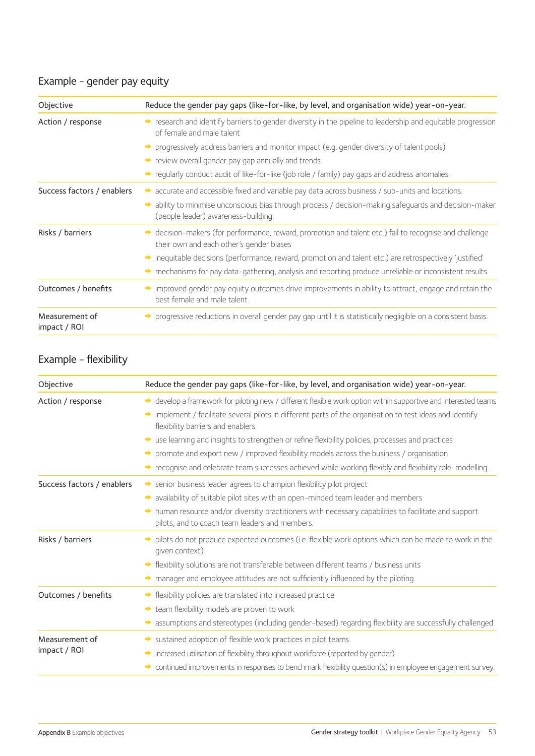### Example - gender pay equity

| Objective                      | Reduce the gender pay gaps (like-for-like, by level, and organisation wide) year-on-year.                                                                                                                                                                                                                                                                                         |
|--------------------------------|-----------------------------------------------------------------------------------------------------------------------------------------------------------------------------------------------------------------------------------------------------------------------------------------------------------------------------------------------------------------------------------|
| Action / response              | research and identify barriers to gender diversity in the pipeline to leadership and equitable progression<br>of female and male talent                                                                                                                                                                                                                                           |
|                                | • progressively address barriers and monitor impact (e.g. gender diversity of talent pools)                                                                                                                                                                                                                                                                                       |
|                                | review overall gender pay gap annually and trends                                                                                                                                                                                                                                                                                                                                 |
|                                | $\rightarrow$ regularly conduct audit of like-for-like (job role / family) pay gaps and address anomalies.                                                                                                                                                                                                                                                                        |
| Success factors / enablers     | $\rightarrow$ accurate and accessible fixed and variable pay data across business / sub-units and locations.<br>A ability to minimise unconscious bias through process / decision-making safeguards and decision-maker<br>(people leader) awareness-building.                                                                                                                     |
| Risks / barriers               | $\rightarrow$ decision-makers (for performance, reward, promotion and talent etc.) fail to recognise and challenge<br>their own and each other's gender biases<br>inequitable decisions (performance, reward, promotion and talent etc.) are retrospectively 'justified'<br>mechanisms for pay data-gathering, analysis and reporting produce unreliable or inconsistent results. |
| Outcomes / benefits            | improved gender pay equity outcomes drive improvements in ability to attract, engage and retain the<br>best female and male talent.                                                                                                                                                                                                                                               |
| Measurement of<br>impact / ROI | → progressive reductions in overall gender pay gap until it is statistically negligible on a consistent basis.                                                                                                                                                                                                                                                                    |

### Example - flexibility

| Objective                  | Reduce the gender pay gaps (like-for-like, by level, and organisation wide) year-on-year.                                                                |
|----------------------------|----------------------------------------------------------------------------------------------------------------------------------------------------------|
| Action / response          | → develop a framework for piloting new / different flexible work option within supportive and interested teams                                           |
|                            | implement / facilitate several pilots in different parts of the organisation to test ideas and identify<br>flexibility barriers and enablers             |
|                            | • use learning and insights to strengthen or refine flexibility policies, processes and practices                                                        |
|                            | $\rightarrow$ promote and export new / improved flexibility models across the business / organisation                                                    |
|                            | → recognise and celebrate team successes achieved while working flexibly and flexibility role-modelling.                                                 |
| Success factors / enablers | Senior business leader agrees to champion flexibility pilot project                                                                                      |
|                            | availability of suitable pilot sites with an open-minded team leader and members<br>$\Rightarrow$                                                        |
|                            | In human resource and/or diversity practitioners with necessary capabilities to facilitate and support<br>pilots, and to coach team leaders and members. |
| Risks / barriers           | pilots do not produce expected outcomes (i.e. flexible work options which can be made to work in the<br>qiven context)                                   |
|                            | flexibility solutions are not transferable between different teams / business units                                                                      |
|                            | manager and employee attitudes are not sufficiently influenced by the piloting.                                                                          |
| Outcomes / benefits        | → flexibility policies are translated into increased practice                                                                                            |
|                            | team flexibility models are proven to work                                                                                                               |
|                            | A assumptions and stereotypes (including gender-based) regarding flexibility are successfully challenged.                                                |
| Measurement of             | Sustained adoption of flexible work practices in pilot teams                                                                                             |
| impact / ROI               | increased utilisation of flexibility throughout workforce (reported by gender)                                                                           |
|                            | * continued improvements in responses to benchmark flexibility question(s) in employee engagement survey.                                                |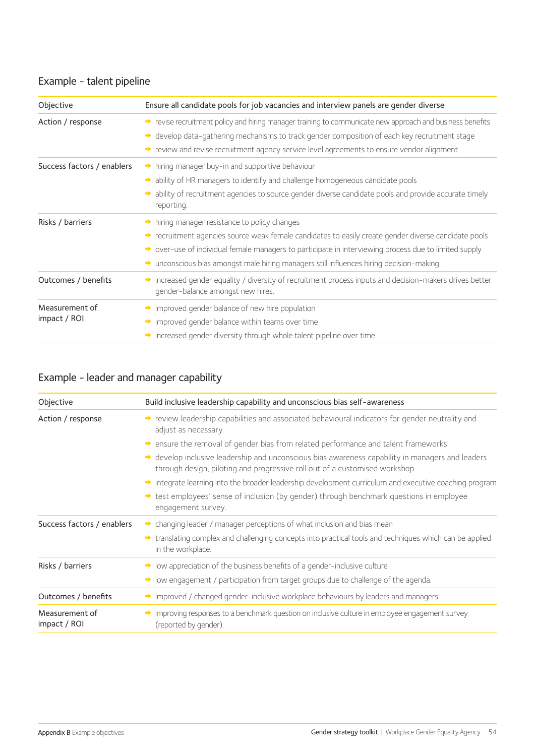### Example - talent pipeline

| Objective                      | Ensure all candidate pools for job vacancies and interview panels are gender diverse                                                                                                                                                                                                                                                                                               |
|--------------------------------|------------------------------------------------------------------------------------------------------------------------------------------------------------------------------------------------------------------------------------------------------------------------------------------------------------------------------------------------------------------------------------|
| Action / response              | revise recruitment policy and hiring manager training to communicate new approach and business benefits<br>• develop data-gathering mechanisms to track gender composition of each key recruitment stage<br>→ review and revise recruitment agency service level agreements to ensure vendor alignment.                                                                            |
| Success factors / enablers     | hiring manager buy-in and supportive behaviour<br>A ability of HR managers to identify and challenge homogeneous candidate pools<br>• ability of recruitment agencies to source gender diverse candidate pools and provide accurate timely<br>reporting.                                                                                                                           |
| Risks / barriers               | $\rightarrow$ hiring manager resistance to policy changes<br>→ recruitment agencies source weak female candidates to easily create gender diverse candidate pools<br>→ over-use of individual female managers to participate in interviewing process due to limited supply<br>$\rightarrow$ unconscious bias amongst male hiring managers still influences hiring decision-making. |
| Outcomes / benefits            | increased gender equality / diversity of recruitment process inputs and decision-makers drives better<br>gender-balance amongst new hires.                                                                                                                                                                                                                                         |
| Measurement of<br>impact / ROI | improved gender balance of new hire population<br>$\rightarrow$ improved gender balance within teams over time<br>increased gender diversity through whole talent pipeline over time.                                                                                                                                                                                              |

### Example - leader and manager capability

| Objective                      | Build inclusive leadership capability and unconscious bias self-awareness                                                                                                      |
|--------------------------------|--------------------------------------------------------------------------------------------------------------------------------------------------------------------------------|
| Action / response              | review leadership capabilities and associated behavioural indicators for gender neutrality and<br>adjust as necessary                                                          |
|                                | $\rightarrow$ ensure the removal of gender bias from related performance and talent frameworks                                                                                 |
|                                | • develop inclusive leadership and unconscious bias awareness capability in managers and leaders<br>through design, piloting and progressive roll out of a customised workshop |
|                                | integrate learning into the broader leadership development curriculum and executive coaching program                                                                           |
|                                | → test employees' sense of inclusion (by gender) through benchmark questions in employee<br>engagement survey.                                                                 |
| Success factors / enablers     | $\rightarrow$ changing leader / manager perceptions of what inclusion and bias mean                                                                                            |
|                                | → translating complex and challenging concepts into practical tools and techniques which can be applied<br>in the workplace.                                                   |
| Risks / barriers               | $\rightarrow$ low appreciation of the business benefits of a gender-inclusive culture                                                                                          |
|                                | > low engagement / participation from target groups due to challenge of the agenda.                                                                                            |
| Outcomes / benefits            | $\rightarrow$ improved / changed gender-inclusive workplace behaviours by leaders and managers.                                                                                |
| Measurement of<br>impact / ROI | improving responses to a benchmark question on inclusive culture in employee engagement survey<br>(reported by gender).                                                        |
|                                |                                                                                                                                                                                |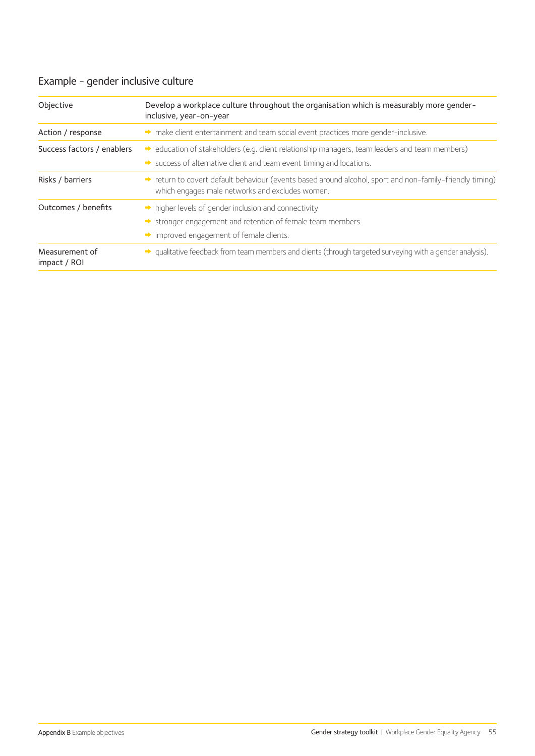## Example - gender inclusive culture

| Objective                      | Develop a workplace culture throughout the organisation which is measurably more gender-<br>inclusive, year-on-year                                                                                |
|--------------------------------|----------------------------------------------------------------------------------------------------------------------------------------------------------------------------------------------------|
| Action / response              | A make client entertainment and team social event practices more gender-inclusive.                                                                                                                 |
| Success factors / enablers     | $\rightarrow$ education of stakeholders (e.g. client relationship managers, team leaders and team members)<br>$\rightarrow$ success of alternative client and team event timing and locations.     |
| Risks / barriers               | → return to covert default behaviour (events based around alcohol, sport and non-family-friendly timing)<br>which engages male networks and excludes women.                                        |
| Outcomes / benefits            | $\rightarrow$ higher levels of gender inclusion and connectivity<br>$\rightarrow$ stronger engagement and retention of female team members<br>$\rightarrow$ improved engagement of female clients. |
| Measurement of<br>impact / ROI | • qualitative feedback from team members and clients (through targeted surveying with a gender analysis).                                                                                          |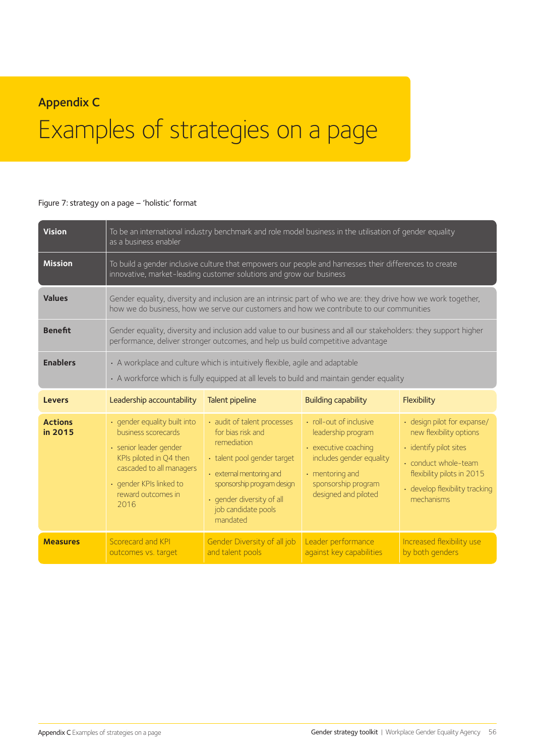## Appendix C

## Examples of strategies on a page

#### Figure 7: strategy on a page – 'holistic' format

| <b>Vision</b>             | as a business enabler                                                                                                                                                                         | To be an international industry benchmark and role model business in the utilisation of gender equality                                                                                                                  |                                                                                                                                                                           |                                                                                                                                                                                              |
|---------------------------|-----------------------------------------------------------------------------------------------------------------------------------------------------------------------------------------------|--------------------------------------------------------------------------------------------------------------------------------------------------------------------------------------------------------------------------|---------------------------------------------------------------------------------------------------------------------------------------------------------------------------|----------------------------------------------------------------------------------------------------------------------------------------------------------------------------------------------|
| <b>Mission</b>            |                                                                                                                                                                                               | To build a gender inclusive culture that empowers our people and harnesses their differences to create<br>innovative, market-leading customer solutions and grow our business                                            |                                                                                                                                                                           |                                                                                                                                                                                              |
| <b>Values</b>             |                                                                                                                                                                                               | Gender equality, diversity and inclusion are an intrinsic part of who we are: they drive how we work together,<br>how we do business, how we serve our customers and how we contribute to our communities                |                                                                                                                                                                           |                                                                                                                                                                                              |
| <b>Benefit</b>            |                                                                                                                                                                                               | Gender equality, diversity and inclusion add value to our business and all our stakeholders: they support higher<br>performance, deliver stronger outcomes, and help us build competitive advantage                      |                                                                                                                                                                           |                                                                                                                                                                                              |
| <b>Enablers</b>           |                                                                                                                                                                                               | • A workplace and culture which is intuitively flexible, agile and adaptable<br>• A workforce which is fully equipped at all levels to build and maintain gender equality                                                |                                                                                                                                                                           |                                                                                                                                                                                              |
| <b>Levers</b>             | Leadership accountability                                                                                                                                                                     | Talent pipeline                                                                                                                                                                                                          | <b>Building capability</b>                                                                                                                                                | Flexibility                                                                                                                                                                                  |
| <b>Actions</b><br>in 2015 | · gender equality built into<br>business scorecards<br>· senior leader gender<br>KPIs piloted in Q4 then<br>cascaded to all managers<br>· gender KPIs linked to<br>reward outcomes in<br>2016 | • audit of talent processes<br>for bias risk and<br>remediation<br>• talent pool gender target<br>• external mentoring and<br>sponsorship program design<br>· gender diversity of all<br>job candidate pools<br>mandated | · roll-out of inclusive<br>leadership program<br>• executive coaching<br>includes gender equality<br>$\cdot$ mentoring and<br>sponsorship program<br>designed and piloted | · design pilot for expanse/<br>new flexibility options<br>· identify pilot sites<br>$\cdot$ conduct whole-team<br>flexibility pilots in 2015<br>· develop flexibility tracking<br>mechanisms |
| <b>Measures</b>           | Scorecard and KPI<br>outcomes vs. target                                                                                                                                                      | Gender Diversity of all job<br>and talent pools                                                                                                                                                                          | Leader performance<br>against key capabilities                                                                                                                            | Increased flexibility use<br>by both genders                                                                                                                                                 |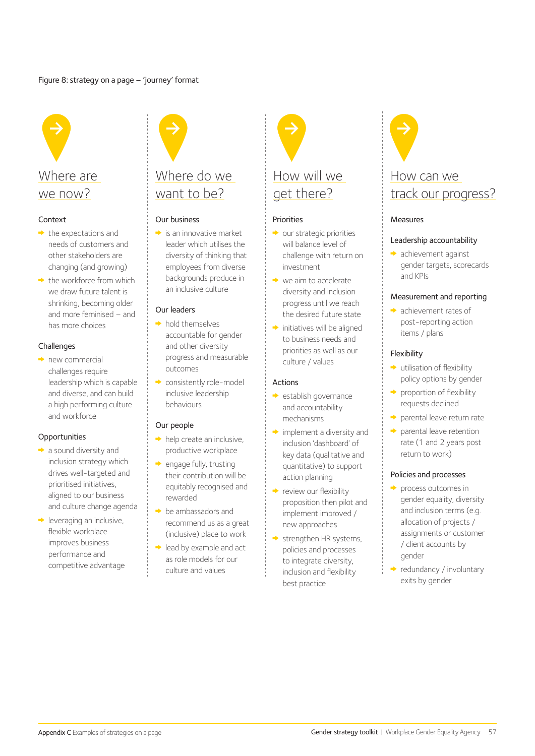#### Figure 8: strategy on a page – 'journey' format



#### Context

- $\rightarrow$  the expectations and needs of customers and other stakeholders are changing (and growing)
- $\rightarrow$  the workforce from which we draw future talent is shrinking, becoming older and more feminised – and has more choices

#### Challenges

• new commercial challenges require leadership which is capable and diverse, and can build a high performing culture and workforce

#### Opportunities

- a sound diversity and inclusion strategy which drives well-targeted and prioritised initiatives, aligned to our business and culture change agenda
- $\rightarrow$  leveraging an inclusive, flexible workplace improves business performance and competitive advantage

## Where do we want to be?

#### Our business

 $\rightarrow$  is an innovative market leader which utilises the diversity of thinking that employees from diverse backgrounds produce in an inclusive culture

#### Our leaders

- $\rightarrow$  hold themselves accountable for gender and other diversity progress and measurable outcomes
- consistently role-model inclusive leadership behaviours

#### Our people

- $\rightarrow$  help create an inclusive, productive workplace
- engage fully, trusting their contribution will be equitably recognised and rewarded
- $\rightarrow$  be ambassadors and recommend us as a great (inclusive) place to work
- $\rightarrow$  lead by example and act as role models for our culture and values



#### **Priorities**

- $\rightarrow$  our strategic priorities will balance level of challenge with return on investment
- $\rightarrow$  we aim to accelerate diversity and inclusion progress until we reach the desired future state
- initiatives will be aligned to business needs and priorities as well as our culture / values

#### Actions

- establish governance and accountability mechanisms
- $\rightarrow$  implement a diversity and inclusion 'dashboard' of key data (qualitative and quantitative) to support action planning
- $\rightarrow$  review our flexibility proposition then pilot and implement improved / new approaches
- strengthen HR systems, policies and processes to integrate diversity, inclusion and flexibility best practice



## track our progress?

#### Measures

#### Leadership accountability

 achievement against gender targets, scorecards and KPIs

#### Measurement and reporting

• achievement rates of post-reporting action items / plans

#### Flexibility

- $\rightarrow$  utilisation of flexibility policy options by gender
- $\rightarrow$  proportion of flexibility requests declined
- parental leave return rate
- $\rightarrow$  parental leave retention rate (1 and 2 years post return to work)

#### Policies and processes

- $\rightarrow$  process outcomes in gender equality, diversity and inclusion terms (e.g. allocation of projects / assignments or customer / client accounts by gender
- $\rightarrow$  redundancy / involuntary exits by gender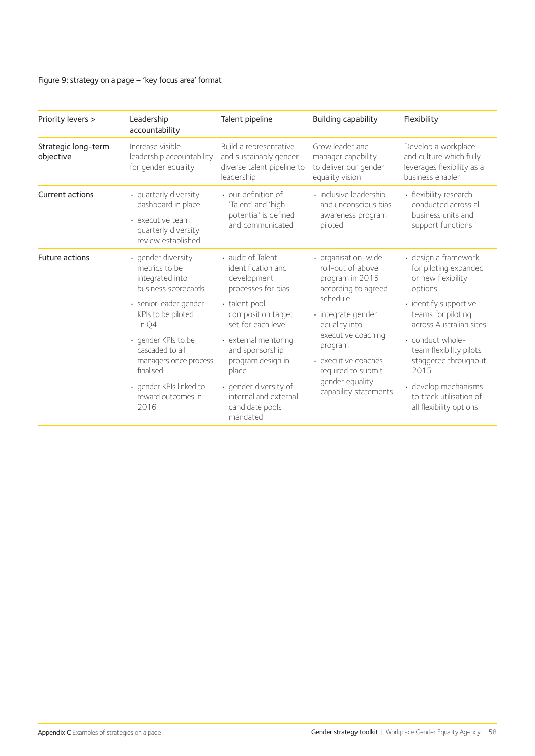#### Figure 9: strategy on a page – 'key focus area' format

| Priority levers >                | Leadership<br>accountability                                                                                 | Talent pipeline                                                                              | Building capability                                                                | Flexibility                                                                                      |
|----------------------------------|--------------------------------------------------------------------------------------------------------------|----------------------------------------------------------------------------------------------|------------------------------------------------------------------------------------|--------------------------------------------------------------------------------------------------|
| Strategic long-term<br>objective | Increase visible<br>leadership accountability<br>for gender equality                                         | Build a representative<br>and sustainably gender<br>diverse talent pipeline to<br>leadership | Grow leader and<br>manager capability<br>to deliver our gender<br>equality vision  | Develop a workplace<br>and culture which fully<br>leverages flexibility as a<br>business enabler |
| Current actions                  | · quarterly diversity<br>dashboard in place<br>• executive team<br>quarterly diversity<br>review established | • our definition of<br>'Talent' and 'high-<br>potential' is defined<br>and communicated      | · inclusive leadership<br>and unconscious bias<br>awareness program<br>piloted     | • flexibility research<br>conducted across all<br>business units and<br>support functions        |
| Future actions                   | · gender diversity<br>metrics to be<br>integrated into<br>business scorecards                                | • audit of Talent<br>identification and<br>development<br>processes for bias                 | · organisation-wide<br>roll-out of above<br>program in 2015<br>according to agreed | · design a framework<br>for piloting expanded<br>or new flexibility<br>options                   |
|                                  | · senior leader gender<br>KPIs to be piloted<br>in Q4                                                        | • talent pool<br>composition target<br>set for each level                                    | schedule<br>· integrate gender<br>equality into                                    | · identify supportive<br>teams for piloting<br>across Australian sites                           |
|                                  | • gender KPIs to be<br>cascaded to all<br>managers once process<br>finalised                                 | • external mentoring<br>and sponsorship<br>program design in<br>place                        | executive coaching<br>program<br>• executive coaches<br>required to submit         | • conduct whole-<br>team flexibility pilots<br>staggered throughout<br>2015                      |
|                                  | · gender KPIs linked to<br>reward outcomes in<br>2016                                                        | · gender diversity of<br>internal and external<br>candidate pools<br>mandated                | gender equality<br>capability statements                                           | · develop mechanisms<br>to track utilisation of<br>all flexibility options                       |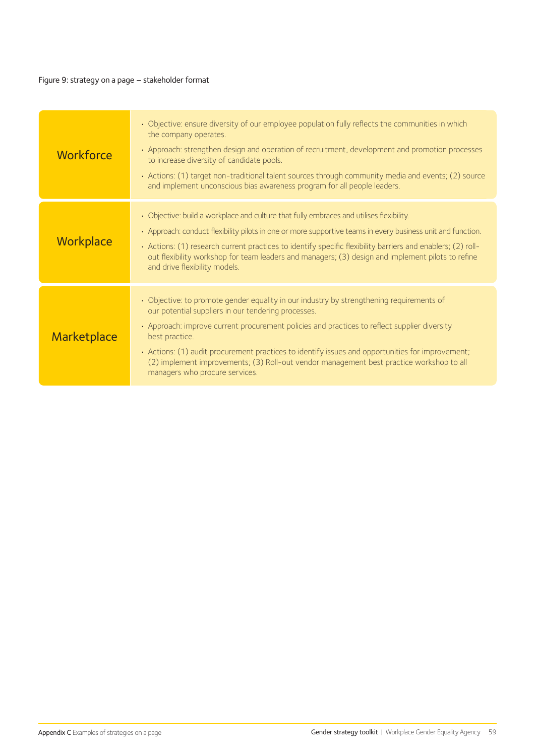#### Figure 9: strategy on a page – stakeholder format

| Workforce   | • Objective: ensure diversity of our employee population fully reflects the communities in which<br>the company operates.<br>• Approach: strengthen design and operation of recruitment, development and promotion processes<br>to increase diversity of candidate pools.<br>• Actions: (1) target non-traditional talent sources through community media and events; (2) source<br>and implement unconscious bias awareness program for all people leaders.                                        |
|-------------|-----------------------------------------------------------------------------------------------------------------------------------------------------------------------------------------------------------------------------------------------------------------------------------------------------------------------------------------------------------------------------------------------------------------------------------------------------------------------------------------------------|
| Workplace   | • Objective: build a workplace and culture that fully embraces and utilises flexibility.<br>• Approach: conduct flexibility pilots in one or more supportive teams in every business unit and function.<br>· Actions: (1) research current practices to identify specific flexibility barriers and enablers; (2) roll-<br>out flexibility workshop for team leaders and managers; (3) design and implement pilots to refine<br>and drive flexibility models.                                        |
| Marketplace | • Objective: to promote gender equality in our industry by strengthening requirements of<br>our potential suppliers in our tendering processes.<br>• Approach: improve current procurement policies and practices to reflect supplier diversity<br>best practice.<br>· Actions: (1) audit procurement practices to identify issues and opportunities for improvement;<br>(2) implement improvements; (3) Roll-out vendor management best practice workshop to all<br>managers who procure services. |